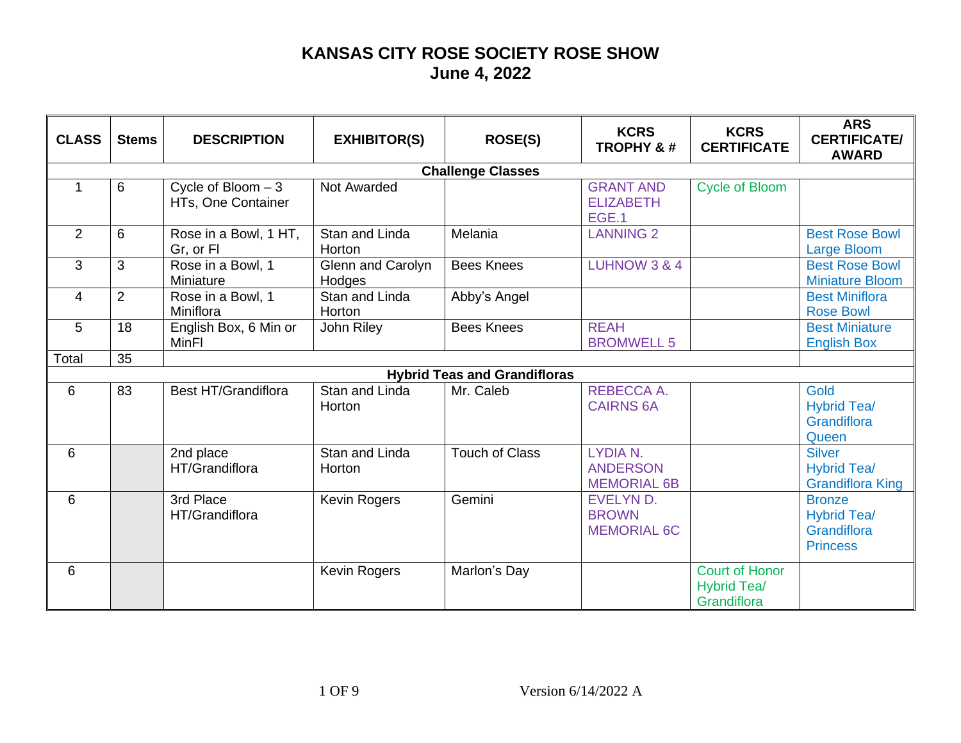| <b>CLASS</b> | <b>Stems</b> | <b>DESCRIPTION</b> | <b>EXHIBITOR(S)</b> | <b>ROSE(S)</b> | <b>KCRS</b><br><b>TROPHY &amp;#&lt;/b&gt;&lt;/th&gt;&lt;th&gt;&lt;b&gt;KCRS&lt;/b&gt;&lt;br&gt;&lt;b&gt;CERTIFICATE&lt;/b&gt;&lt;/th&gt;&lt;th&gt;&lt;b&gt;ARS&lt;/b&gt;&lt;br&gt;&lt;b&gt;CERTIFICATE/&lt;/b&gt;&lt;br&gt;&lt;b&gt;AWARD&lt;/b&gt;&lt;/th&gt;&lt;/tr&gt;&lt;tr&gt;&lt;th&gt;&lt;/th&gt;&lt;th&gt;&lt;/th&gt;&lt;th&gt;&lt;/th&gt;&lt;th&gt;&lt;/th&gt;&lt;th&gt;&lt;b&gt;Challenge Classes&lt;/b&gt;&lt;/th&gt;&lt;th&gt;&lt;/th&gt;&lt;th&gt;&lt;/th&gt;&lt;th&gt;&lt;/th&gt;&lt;/tr&gt;&lt;tr&gt;&lt;td&gt;&lt;/td&gt;&lt;td&gt;6&lt;/td&gt;&lt;td&gt;Cycle of Bloom &lt;math&gt;-3&lt;/math&gt;&lt;br&gt;HTs, One Container&lt;/td&gt;&lt;td&gt;Not Awarded&lt;/td&gt;&lt;td&gt;&lt;/td&gt;&lt;td&gt;&lt;b&gt;GRANT AND&lt;/b&gt;&lt;br&gt;&lt;b&gt;ELIZABETH&lt;/b&gt;&lt;br&gt;EGE.1&lt;/td&gt;&lt;td&gt;&lt;b&gt;Cycle of Bloom&lt;/b&gt;&lt;/td&gt;&lt;td&gt;&lt;/td&gt;&lt;/tr&gt;&lt;tr&gt;&lt;td&gt;&lt;math&gt;\overline{2}&lt;/math&gt;&lt;/td&gt;&lt;td&gt;6&lt;/td&gt;&lt;td&gt;Rose in a Bowl, 1 HT,&lt;br&gt;Gr, or FI&lt;/td&gt;&lt;td&gt;Stan and Linda&lt;br&gt;Horton&lt;/td&gt;&lt;td&gt;Melania&lt;/td&gt;&lt;td&gt;&lt;b&gt;LANNING 2&lt;/b&gt;&lt;/td&gt;&lt;td&gt;&lt;/td&gt;&lt;td&gt;&lt;b&gt;Best Rose Bowl&lt;/b&gt;&lt;br&gt;&lt;b&gt;Large Bloom&lt;/b&gt;&lt;/td&gt;&lt;/tr&gt;&lt;tr&gt;&lt;td&gt;3&lt;/td&gt;&lt;td&gt;3&lt;/td&gt;&lt;td&gt;Rose in a Bowl, 1&lt;br&gt;Miniature&lt;/td&gt;&lt;td&gt;Glenn and Carolyn&lt;br&gt;Hodges&lt;/td&gt;&lt;td&gt;&lt;b&gt;Bees Knees&lt;/b&gt;&lt;/td&gt;&lt;td&gt;&lt;b&gt;LUHNOW 3 &amp; 4&lt;/b&gt;&lt;/td&gt;&lt;td&gt;&lt;/td&gt;&lt;td&gt;&lt;b&gt;Best Rose Bowl&lt;/b&gt;&lt;br&gt;&lt;b&gt;Miniature Bloom&lt;/b&gt;&lt;/td&gt;&lt;/tr&gt;&lt;tr&gt;&lt;td&gt;4&lt;/td&gt;&lt;td&gt;2&lt;/td&gt;&lt;td&gt;Rose in a Bowl, 1&lt;br&gt;Miniflora&lt;/td&gt;&lt;td&gt;Stan and Linda&lt;br&gt;Horton&lt;/td&gt;&lt;td&gt;Abby's Angel&lt;/td&gt;&lt;td&gt;&lt;/td&gt;&lt;td&gt;&lt;/td&gt;&lt;td&gt;&lt;b&gt;Best Miniflora&lt;/b&gt;&lt;br&gt;&lt;b&gt;Rose Bowl&lt;/b&gt;&lt;/td&gt;&lt;/tr&gt;&lt;tr&gt;&lt;td&gt;5&lt;/td&gt;&lt;td&gt;18&lt;/td&gt;&lt;td&gt;English Box, 6 Min or&lt;br&gt;&lt;b&gt;MinFI&lt;/b&gt;&lt;/td&gt;&lt;td&gt;John Riley&lt;/td&gt;&lt;td&gt;&lt;b&gt;Bees Knees&lt;/b&gt;&lt;/td&gt;&lt;td&gt;&lt;b&gt;REAH&lt;/b&gt;&lt;br&gt;&lt;b&gt;BROMWELL 5&lt;/b&gt;&lt;/td&gt;&lt;td&gt;&lt;/td&gt;&lt;td&gt;&lt;b&gt;Best Miniature&lt;/b&gt;&lt;br&gt;&lt;b&gt;English Box&lt;/b&gt;&lt;/td&gt;&lt;/tr&gt;&lt;tr&gt;&lt;td&gt;Total&lt;/td&gt;&lt;td&gt;35&lt;/td&gt;&lt;td&gt;&lt;/td&gt;&lt;td&gt;&lt;/td&gt;&lt;td&gt;&lt;/td&gt;&lt;td&gt;&lt;/td&gt;&lt;td&gt;&lt;/td&gt;&lt;td&gt;&lt;/td&gt;&lt;/tr&gt;&lt;tr&gt;&lt;td&gt;&lt;/td&gt;&lt;td&gt;&lt;/td&gt;&lt;td&gt;&lt;/td&gt;&lt;td&gt;&lt;/td&gt;&lt;td&gt;&lt;b&gt;Hybrid Teas and Grandifloras&lt;/b&gt;&lt;/td&gt;&lt;td&gt;&lt;/td&gt;&lt;td&gt;&lt;/td&gt;&lt;td&gt;&lt;/td&gt;&lt;/tr&gt;&lt;tr&gt;&lt;td&gt;6&lt;/td&gt;&lt;td&gt;83&lt;/td&gt;&lt;td&gt;&lt;b&gt;Best HT/Grandiflora&lt;/b&gt;&lt;/td&gt;&lt;td&gt;Stan and Linda&lt;br&gt;Horton&lt;/td&gt;&lt;td&gt;Mr. Caleb&lt;/td&gt;&lt;td&gt;REBECCA A.&lt;br&gt;&lt;b&gt;CAIRNS 6A&lt;/b&gt;&lt;/td&gt;&lt;td&gt;&lt;/td&gt;&lt;td&gt;Gold&lt;br&gt;&lt;b&gt;Hybrid Tea/&lt;/b&gt;&lt;br&gt;Grandiflora&lt;br&gt;Queen&lt;/td&gt;&lt;/tr&gt;&lt;tr&gt;&lt;td&gt;6&lt;/td&gt;&lt;td&gt;&lt;/td&gt;&lt;td&gt;2nd place&lt;br&gt;HT/Grandiflora&lt;/td&gt;&lt;td&gt;Stan and Linda&lt;br&gt;Horton&lt;/td&gt;&lt;td&gt;&lt;b&gt;Touch of Class&lt;/b&gt;&lt;/td&gt;&lt;td&gt;LYDIA N.&lt;br&gt;&lt;b&gt;ANDERSON&lt;/b&gt;&lt;br&gt;&lt;b&gt;MEMORIAL 6B&lt;/b&gt;&lt;/td&gt;&lt;td&gt;&lt;/td&gt;&lt;td&gt;&lt;b&gt;Silver&lt;/b&gt;&lt;br&gt;&lt;b&gt;Hybrid Tea/&lt;/b&gt;&lt;br&gt;&lt;b&gt;Grandiflora King&lt;/b&gt;&lt;/td&gt;&lt;/tr&gt;&lt;tr&gt;&lt;td&gt;6&lt;/td&gt;&lt;td&gt;&lt;/td&gt;&lt;td&gt;3rd Place&lt;br&gt;HT/Grandiflora&lt;/td&gt;&lt;td&gt;Kevin Rogers&lt;/td&gt;&lt;td&gt;Gemini&lt;/td&gt;&lt;td&gt;EVELYN D.&lt;br&gt;&lt;b&gt;BROWN&lt;/b&gt;&lt;br&gt;&lt;b&gt;MEMORIAL 6C&lt;/b&gt;&lt;/td&gt;&lt;td&gt;&lt;/td&gt;&lt;td&gt;&lt;b&gt;Bronze&lt;/b&gt;&lt;br&gt;&lt;b&gt;Hybrid Tea/&lt;/b&gt;&lt;br&gt;Grandiflora&lt;br&gt;&lt;b&gt;Princess&lt;/b&gt;&lt;/td&gt;&lt;/tr&gt;&lt;tr&gt;&lt;td&gt;6&lt;/td&gt;&lt;td&gt;&lt;/td&gt;&lt;td&gt;&lt;/td&gt;&lt;td&gt;Kevin Rogers&lt;/td&gt;&lt;td&gt;Marlon's Day&lt;/td&gt;&lt;td&gt;&lt;/td&gt;&lt;td&gt;&lt;b&gt;Court of Honor&lt;/b&gt;&lt;br&gt;&lt;b&gt;Hybrid Tea/&lt;/b&gt;&lt;br&gt;Grandiflora&lt;/td&gt;&lt;td&gt;&lt;/td&gt;&lt;/tr&gt;&lt;/tbody&gt;&lt;/table&gt;</b> |
|--------------|--------------|--------------------|---------------------|----------------|-----------------------------------------------------------------------------------------------------------------------------------------------------------------------------------------------------------------------------------------------------------------------------------------------------------------------------------------------------------------------------------------------------------------------------------------------------------------------------------------------------------------------------------------------------------------------------------------------------------------------------------------------------------------------------------------------------------------------------------------------------------------------------------------------------------------------------------------------------------------------------------------------------------------------------------------------------------------------------------------------------------------------------------------------------------------------------------------------------------------------------------------------------------------------------------------------------------------------------------------------------------------------------------------------------------------------------------------------------------------------------------------------------------------------------------------------------------------------------------------------------------------------------------------------------------------------------------------------------------------------------------------------------------------------------------------------------------------------------------------------------------------------------------------------------------------------------------------------------------------------------------------------------------------------------------------------------------------------------------------------------------------------------------------------------------------------------------------------------------------------------------------------------------------------------------------------------------------------------------------------------------------------------------------------------------------------------------------------------------------------------------------------------------------------------------------------------------------------------------------------------------------------------------------------------------------------------------------------------------------------------------------------------------------------------------------------------------------------------------------------------------------------------------------------------------------------------------------------------------------------------------------------------------------------------------------------------------------------------------------------------------------------------------------------------------------------------------------------------------------------------------------------------------------------------------------------------------------------------------------------------------------------------------------------------------------------------------------------------------------------------------------------------------------------------------------------------------------------------------------------------------------------------------------------------------------------------------------------------------------------------------------------------------------------------------------------------------------------------------------------------------------------------------------------------------------------------------------------------------------------------------------------------------------------------------------------------------------------------------------------------------------------------------------------------------------------------------------------------------------------------------------------------------------------------------------------------------------------------------------------------------------------------------------------------------------------------------------------------------------------------------------------------------------------------------------------------------------------------------------------------------------------------------------------------------------------------------------------------------------------------------------------------------------------------------------------------------------------------|
|--------------|--------------|--------------------|---------------------|----------------|-----------------------------------------------------------------------------------------------------------------------------------------------------------------------------------------------------------------------------------------------------------------------------------------------------------------------------------------------------------------------------------------------------------------------------------------------------------------------------------------------------------------------------------------------------------------------------------------------------------------------------------------------------------------------------------------------------------------------------------------------------------------------------------------------------------------------------------------------------------------------------------------------------------------------------------------------------------------------------------------------------------------------------------------------------------------------------------------------------------------------------------------------------------------------------------------------------------------------------------------------------------------------------------------------------------------------------------------------------------------------------------------------------------------------------------------------------------------------------------------------------------------------------------------------------------------------------------------------------------------------------------------------------------------------------------------------------------------------------------------------------------------------------------------------------------------------------------------------------------------------------------------------------------------------------------------------------------------------------------------------------------------------------------------------------------------------------------------------------------------------------------------------------------------------------------------------------------------------------------------------------------------------------------------------------------------------------------------------------------------------------------------------------------------------------------------------------------------------------------------------------------------------------------------------------------------------------------------------------------------------------------------------------------------------------------------------------------------------------------------------------------------------------------------------------------------------------------------------------------------------------------------------------------------------------------------------------------------------------------------------------------------------------------------------------------------------------------------------------------------------------------------------------------------------------------------------------------------------------------------------------------------------------------------------------------------------------------------------------------------------------------------------------------------------------------------------------------------------------------------------------------------------------------------------------------------------------------------------------------------------------------------------------------------------------------------------------------------------------------------------------------------------------------------------------------------------------------------------------------------------------------------------------------------------------------------------------------------------------------------------------------------------------------------------------------------------------------------------------------------------------------------------------------------------------------------------------------------------------------------------------------------------------------------------------------------------------------------------------------------------------------------------------------------------------------------------------------------------------------------------------------------------------------------------------------------------------------------------------------------------------------------------------------------------------------------------------------------------------|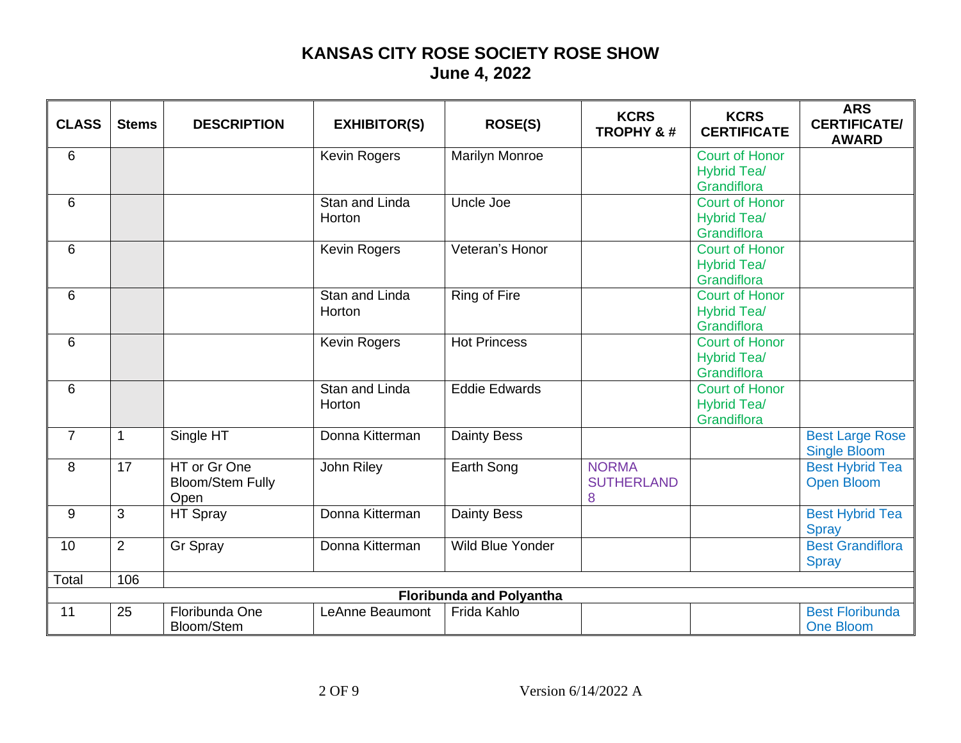| <b>CLASS</b> | <b>Stems</b> | <b>DESCRIPTION</b> | <b>EXHIBITOR(S)</b> | <b>ROSE(S)</b> | <b>KCRS</b><br><b>TROPHY &amp;#&lt;/b&gt;&lt;/th&gt;&lt;th&gt;&lt;b&gt;KCRS&lt;/b&gt;&lt;br&gt;&lt;b&gt;CERTIFICATE&lt;/b&gt;&lt;/th&gt;&lt;th&gt;&lt;b&gt;ARS&lt;/b&gt;&lt;br&gt;&lt;b&gt;CERTIFICATE/&lt;/b&gt;&lt;br&gt;&lt;b&gt;AWARD&lt;/b&gt;&lt;/th&gt;&lt;/tr&gt;&lt;tr&gt;&lt;td&gt;6&lt;/td&gt;&lt;td&gt;&lt;/td&gt;&lt;td&gt;&lt;/td&gt;&lt;td&gt;&lt;b&gt;Kevin Rogers&lt;/b&gt;&lt;/td&gt;&lt;td&gt;&lt;b&gt;Marilyn Monroe&lt;/b&gt;&lt;/td&gt;&lt;td&gt;&lt;/td&gt;&lt;td&gt;&lt;b&gt;Court of Honor&lt;/b&gt;&lt;br&gt;&lt;b&gt;Hybrid Tea/&lt;/b&gt;&lt;br&gt;Grandiflora&lt;/td&gt;&lt;td&gt;&lt;/td&gt;&lt;/tr&gt;&lt;tr&gt;&lt;td&gt;6&lt;/td&gt;&lt;td&gt;&lt;/td&gt;&lt;td&gt;&lt;/td&gt;&lt;td&gt;Stan and Linda&lt;br&gt;Horton&lt;/td&gt;&lt;td&gt;Uncle Joe&lt;/td&gt;&lt;td&gt;&lt;/td&gt;&lt;td&gt;&lt;b&gt;Court of Honor&lt;/b&gt;&lt;br&gt;&lt;b&gt;Hybrid Tea/&lt;/b&gt;&lt;br&gt;Grandiflora&lt;/td&gt;&lt;td&gt;&lt;/td&gt;&lt;/tr&gt;&lt;tr&gt;&lt;td&gt;6&lt;/td&gt;&lt;td&gt;&lt;/td&gt;&lt;td&gt;&lt;/td&gt;&lt;td&gt;&lt;b&gt;Kevin Rogers&lt;/b&gt;&lt;/td&gt;&lt;td&gt;Veteran's Honor&lt;/td&gt;&lt;td&gt;&lt;/td&gt;&lt;td&gt;&lt;b&gt;Court of Honor&lt;/b&gt;&lt;br&gt;&lt;b&gt;Hybrid Tea/&lt;/b&gt;&lt;br&gt;Grandiflora&lt;/td&gt;&lt;td&gt;&lt;/td&gt;&lt;/tr&gt;&lt;tr&gt;&lt;td&gt;6&lt;/td&gt;&lt;td&gt;&lt;/td&gt;&lt;td&gt;&lt;/td&gt;&lt;td&gt;Stan and Linda&lt;br&gt;Horton&lt;/td&gt;&lt;td&gt;Ring of Fire&lt;/td&gt;&lt;td&gt;&lt;/td&gt;&lt;td&gt;&lt;b&gt;Court of Honor&lt;/b&gt;&lt;br&gt;&lt;b&gt;Hybrid Tea/&lt;/b&gt;&lt;br&gt;Grandiflora&lt;/td&gt;&lt;td&gt;&lt;/td&gt;&lt;/tr&gt;&lt;tr&gt;&lt;td&gt;6&lt;/td&gt;&lt;td&gt;&lt;/td&gt;&lt;td&gt;&lt;/td&gt;&lt;td&gt;Kevin Rogers&lt;/td&gt;&lt;td&gt;&lt;b&gt;Hot Princess&lt;/b&gt;&lt;/td&gt;&lt;td&gt;&lt;/td&gt;&lt;td&gt;&lt;b&gt;Court of Honor&lt;/b&gt;&lt;br&gt;&lt;b&gt;Hybrid Tea/&lt;/b&gt;&lt;br&gt;Grandiflora&lt;/td&gt;&lt;td&gt;&lt;/td&gt;&lt;/tr&gt;&lt;tr&gt;&lt;td&gt;6&lt;/td&gt;&lt;td&gt;&lt;/td&gt;&lt;td&gt;&lt;/td&gt;&lt;td&gt;Stan and Linda&lt;br&gt;Horton&lt;/td&gt;&lt;td&gt;&lt;b&gt;Eddie Edwards&lt;/b&gt;&lt;/td&gt;&lt;td&gt;&lt;/td&gt;&lt;td&gt;&lt;b&gt;Court of Honor&lt;/b&gt;&lt;br&gt;&lt;b&gt;Hybrid Tea/&lt;/b&gt;&lt;br&gt;Grandiflora&lt;/td&gt;&lt;td&gt;&lt;/td&gt;&lt;/tr&gt;&lt;tr&gt;&lt;td&gt;&lt;math&gt;\overline{7}&lt;/math&gt;&lt;/td&gt;&lt;td&gt;&lt;math&gt;\mathbf{1}&lt;/math&gt;&lt;/td&gt;&lt;td&gt;Single HT&lt;/td&gt;&lt;td&gt;Donna Kitterman&lt;/td&gt;&lt;td&gt;&lt;b&gt;Dainty Bess&lt;/b&gt;&lt;/td&gt;&lt;td&gt;&lt;/td&gt;&lt;td&gt;&lt;/td&gt;&lt;td&gt;&lt;b&gt;Best Large Rose&lt;/b&gt;&lt;br&gt;&lt;b&gt;Single Bloom&lt;/b&gt;&lt;/td&gt;&lt;/tr&gt;&lt;tr&gt;&lt;td&gt;8&lt;/td&gt;&lt;td&gt;17&lt;/td&gt;&lt;td&gt;HT or Gr One&lt;br&gt;&lt;b&gt;Bloom/Stem Fully&lt;/b&gt;&lt;br&gt;Open&lt;/td&gt;&lt;td&gt;John Riley&lt;/td&gt;&lt;td&gt;Earth Song&lt;/td&gt;&lt;td&gt;&lt;b&gt;NORMA&lt;/b&gt;&lt;br&gt;&lt;b&gt;SUTHERLAND&lt;/b&gt;&lt;br&gt;8&lt;/td&gt;&lt;td&gt;&lt;/td&gt;&lt;td&gt;&lt;b&gt;Best Hybrid Tea&lt;/b&gt;&lt;br&gt;&lt;b&gt;Open Bloom&lt;/b&gt;&lt;/td&gt;&lt;/tr&gt;&lt;tr&gt;&lt;td&gt;9&lt;/td&gt;&lt;td&gt;3&lt;/td&gt;&lt;td&gt;HT Spray&lt;/td&gt;&lt;td&gt;Donna Kitterman&lt;/td&gt;&lt;td&gt;&lt;b&gt;Dainty Bess&lt;/b&gt;&lt;/td&gt;&lt;td&gt;&lt;/td&gt;&lt;td&gt;&lt;/td&gt;&lt;td&gt;&lt;b&gt;Best Hybrid Tea&lt;/b&gt;&lt;br&gt;&lt;b&gt;Spray&lt;/b&gt;&lt;/td&gt;&lt;/tr&gt;&lt;tr&gt;&lt;td&gt;10&lt;/td&gt;&lt;td&gt;2&lt;/td&gt;&lt;td&gt;Gr Spray&lt;/td&gt;&lt;td&gt;Donna Kitterman&lt;/td&gt;&lt;td&gt;&lt;b&gt;Wild Blue Yonder&lt;/b&gt;&lt;/td&gt;&lt;td&gt;&lt;/td&gt;&lt;td&gt;&lt;/td&gt;&lt;td&gt;&lt;b&gt;Best Grandiflora&lt;/b&gt;&lt;br&gt;&lt;b&gt;Spray&lt;/b&gt;&lt;/td&gt;&lt;/tr&gt;&lt;tr&gt;&lt;td&gt;Total&lt;/td&gt;&lt;td&gt;106&lt;/td&gt;&lt;td&gt;&lt;/td&gt;&lt;td&gt;&lt;/td&gt;&lt;td&gt;&lt;/td&gt;&lt;td&gt;&lt;/td&gt;&lt;td&gt;&lt;/td&gt;&lt;td&gt;&lt;/td&gt;&lt;/tr&gt;&lt;tr&gt;&lt;td&gt;&lt;/td&gt;&lt;td&gt;&lt;/td&gt;&lt;td&gt;&lt;/td&gt;&lt;td&gt;&lt;/td&gt;&lt;td&gt;&lt;b&gt;Floribunda and Polyantha&lt;/b&gt;&lt;/td&gt;&lt;td&gt;&lt;/td&gt;&lt;td&gt;&lt;/td&gt;&lt;td&gt;&lt;/td&gt;&lt;/tr&gt;&lt;tr&gt;&lt;td&gt;11&lt;/td&gt;&lt;td&gt;25&lt;/td&gt;&lt;td&gt;Floribunda One&lt;br&gt;Bloom/Stem&lt;/td&gt;&lt;td&gt;LeAnne Beaumont&lt;/td&gt;&lt;td&gt;Frida Kahlo&lt;/td&gt;&lt;td&gt;&lt;/td&gt;&lt;td&gt;&lt;/td&gt;&lt;td&gt;&lt;b&gt;Best Floribunda&lt;/b&gt;&lt;br&gt;&lt;b&gt;One Bloom&lt;/b&gt;&lt;/td&gt;&lt;/tr&gt;&lt;/tbody&gt;&lt;/table&gt;</b> |
|--------------|--------------|--------------------|---------------------|----------------|----------------------------------------------------------------------------------------------------------------------------------------------------------------------------------------------------------------------------------------------------------------------------------------------------------------------------------------------------------------------------------------------------------------------------------------------------------------------------------------------------------------------------------------------------------------------------------------------------------------------------------------------------------------------------------------------------------------------------------------------------------------------------------------------------------------------------------------------------------------------------------------------------------------------------------------------------------------------------------------------------------------------------------------------------------------------------------------------------------------------------------------------------------------------------------------------------------------------------------------------------------------------------------------------------------------------------------------------------------------------------------------------------------------------------------------------------------------------------------------------------------------------------------------------------------------------------------------------------------------------------------------------------------------------------------------------------------------------------------------------------------------------------------------------------------------------------------------------------------------------------------------------------------------------------------------------------------------------------------------------------------------------------------------------------------------------------------------------------------------------------------------------------------------------------------------------------------------------------------------------------------------------------------------------------------------------------------------------------------------------------------------------------------------------------------------------------------------------------------------------------------------------------------------------------------------------------------------------------------------------------------------------------------------------------------------------------------------------------------------------------------------------------------------------------------------------------------------------------------------------------------------------------------------------------------------------------------------------------------------------------------------------------------------------------------------------------------------------------------------------------------------------------------------------------------------------------------------------------------------------------------------------------------------------------------------------------------------------------------------------------------------------------------------------------------------------------------------------------------------------------------------------------------------------------------------------------------------------------------------------------------------------------------------------------------------------------------------------------------------------------------------------------------------------------------------------------------------------------------------------------------------------------------------------------------------------------------------------------------------------------------------------------------------------------------------------------------------------------------------------------------------------------------------------------------------------------------------------------------------------------------------------------------------------------------------------------------------------------------------------------------------------------------------------------------------------------------------------------------------------------------------------------------------------------------------------------------------------------------------------------------------------------------------------------------------|
|--------------|--------------|--------------------|---------------------|----------------|----------------------------------------------------------------------------------------------------------------------------------------------------------------------------------------------------------------------------------------------------------------------------------------------------------------------------------------------------------------------------------------------------------------------------------------------------------------------------------------------------------------------------------------------------------------------------------------------------------------------------------------------------------------------------------------------------------------------------------------------------------------------------------------------------------------------------------------------------------------------------------------------------------------------------------------------------------------------------------------------------------------------------------------------------------------------------------------------------------------------------------------------------------------------------------------------------------------------------------------------------------------------------------------------------------------------------------------------------------------------------------------------------------------------------------------------------------------------------------------------------------------------------------------------------------------------------------------------------------------------------------------------------------------------------------------------------------------------------------------------------------------------------------------------------------------------------------------------------------------------------------------------------------------------------------------------------------------------------------------------------------------------------------------------------------------------------------------------------------------------------------------------------------------------------------------------------------------------------------------------------------------------------------------------------------------------------------------------------------------------------------------------------------------------------------------------------------------------------------------------------------------------------------------------------------------------------------------------------------------------------------------------------------------------------------------------------------------------------------------------------------------------------------------------------------------------------------------------------------------------------------------------------------------------------------------------------------------------------------------------------------------------------------------------------------------------------------------------------------------------------------------------------------------------------------------------------------------------------------------------------------------------------------------------------------------------------------------------------------------------------------------------------------------------------------------------------------------------------------------------------------------------------------------------------------------------------------------------------------------------------------------------------------------------------------------------------------------------------------------------------------------------------------------------------------------------------------------------------------------------------------------------------------------------------------------------------------------------------------------------------------------------------------------------------------------------------------------------------------------------------------------------------------------------------------------------------------------------------------------------------------------------------------------------------------------------------------------------------------------------------------------------------------------------------------------------------------------------------------------------------------------------------------------------------------------------------------------------------------------------------------------------------------------------------------------|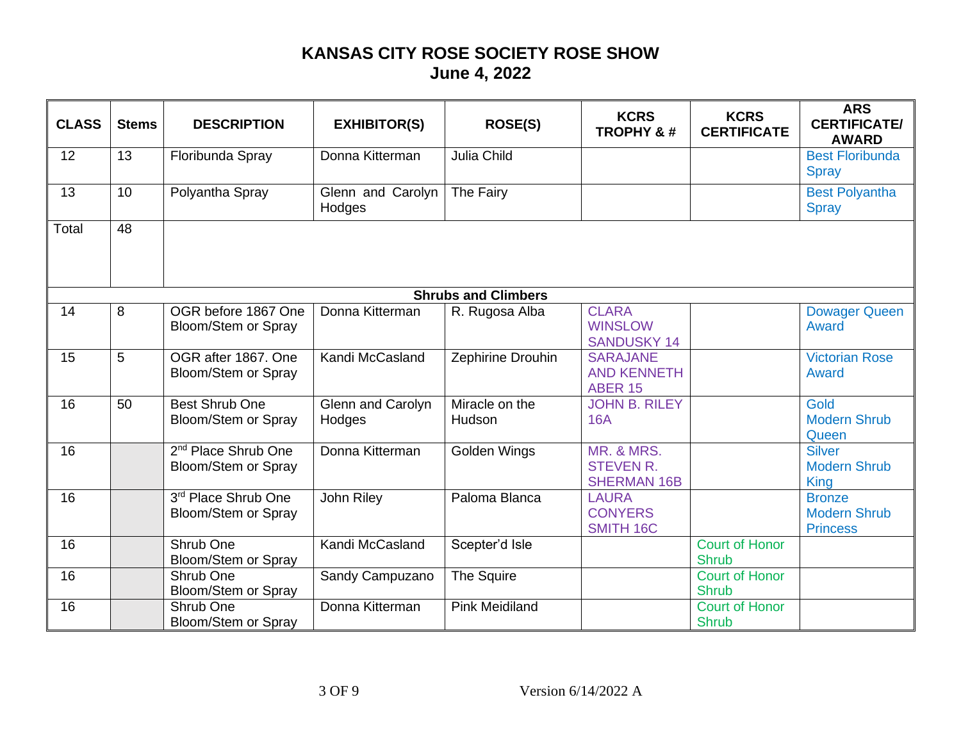| <b>CLASS</b> | <b>Stems</b> | <b>DESCRIPTION</b> | <b>EXHIBITOR(S)</b> | <b>ROSE(S)</b> | <b>KCRS</b><br><b>TROPHY &amp;#&lt;/b&gt;&lt;/th&gt;&lt;th&gt;&lt;b&gt;KCRS&lt;/b&gt;&lt;br&gt;&lt;b&gt;CERTIFICATE&lt;/b&gt;&lt;/th&gt;&lt;th&gt;&lt;b&gt;ARS&lt;/b&gt;&lt;br&gt;&lt;b&gt;CERTIFICATE/&lt;/b&gt;&lt;br&gt;&lt;b&gt;AWARD&lt;/b&gt;&lt;/th&gt;&lt;/tr&gt;&lt;tr&gt;&lt;td&gt;12&lt;/td&gt;&lt;td&gt;13&lt;/td&gt;&lt;td&gt;Floribunda Spray&lt;/td&gt;&lt;td&gt;Donna Kitterman&lt;/td&gt;&lt;td&gt;&lt;b&gt;Julia Child&lt;/b&gt;&lt;/td&gt;&lt;td&gt;&lt;/td&gt;&lt;td&gt;&lt;/td&gt;&lt;td&gt;&lt;b&gt;Best Floribunda&lt;/b&gt;&lt;br&gt;&lt;b&gt;Spray&lt;/b&gt;&lt;/td&gt;&lt;/tr&gt;&lt;tr&gt;&lt;td&gt;13&lt;/td&gt;&lt;td&gt;10&lt;/td&gt;&lt;td&gt;Polyantha Spray&lt;/td&gt;&lt;td&gt;Glenn and Carolyn&lt;br&gt;Hodges&lt;/td&gt;&lt;td&gt;The Fairy&lt;/td&gt;&lt;td&gt;&lt;/td&gt;&lt;td&gt;&lt;/td&gt;&lt;td&gt;&lt;b&gt;Best Polyantha&lt;/b&gt;&lt;br&gt;&lt;b&gt;Spray&lt;/b&gt;&lt;/td&gt;&lt;/tr&gt;&lt;tr&gt;&lt;th&gt;Total&lt;/th&gt;&lt;th&gt;48&lt;/th&gt;&lt;th&gt;&lt;/th&gt;&lt;th&gt;&lt;/th&gt;&lt;th&gt;&lt;/th&gt;&lt;th&gt;&lt;/th&gt;&lt;th&gt;&lt;/th&gt;&lt;th&gt;&lt;/th&gt;&lt;/tr&gt;&lt;tr&gt;&lt;td&gt;&lt;/td&gt;&lt;td&gt;&lt;/td&gt;&lt;td&gt;&lt;/td&gt;&lt;td&gt;&lt;/td&gt;&lt;td&gt;&lt;b&gt;Shrubs and Climbers&lt;/b&gt;&lt;/td&gt;&lt;td&gt;&lt;/td&gt;&lt;td&gt;&lt;/td&gt;&lt;td&gt;&lt;/td&gt;&lt;/tr&gt;&lt;tr&gt;&lt;td&gt;14&lt;/td&gt;&lt;td&gt;8&lt;/td&gt;&lt;td&gt;OGR before 1867 One&lt;br&gt;Bloom/Stem or Spray&lt;/td&gt;&lt;td&gt;Donna Kitterman&lt;/td&gt;&lt;td&gt;R. Rugosa Alba&lt;/td&gt;&lt;td&gt;&lt;b&gt;CLARA&lt;/b&gt;&lt;br&gt;&lt;b&gt;WINSLOW&lt;/b&gt;&lt;br&gt;&lt;b&gt;SANDUSKY 14&lt;/b&gt;&lt;/td&gt;&lt;td&gt;&lt;/td&gt;&lt;td&gt;&lt;b&gt;Dowager Queen&lt;/b&gt;&lt;br&gt;Award&lt;/td&gt;&lt;/tr&gt;&lt;tr&gt;&lt;td&gt;15&lt;/td&gt;&lt;td&gt;5&lt;/td&gt;&lt;td&gt;OGR after 1867. One&lt;br&gt;Bloom/Stem or Spray&lt;/td&gt;&lt;td&gt;Kandi McCasland&lt;/td&gt;&lt;td&gt;Zephirine Drouhin&lt;/td&gt;&lt;td&gt;&lt;b&gt;SARAJANE&lt;/b&gt;&lt;br&gt;&lt;b&gt;AND KENNETH&lt;/b&gt;&lt;br&gt;&lt;b&gt;ABER 15&lt;/b&gt;&lt;/td&gt;&lt;td&gt;&lt;/td&gt;&lt;td&gt;&lt;b&gt;Victorian Rose&lt;/b&gt;&lt;br&gt;Award&lt;/td&gt;&lt;/tr&gt;&lt;tr&gt;&lt;td&gt;16&lt;/td&gt;&lt;td&gt;50&lt;/td&gt;&lt;td&gt;Best Shrub One&lt;br&gt;Bloom/Stem or Spray&lt;/td&gt;&lt;td&gt;Glenn and Carolyn&lt;br&gt;Hodges&lt;/td&gt;&lt;td&gt;Miracle on the&lt;br&gt;Hudson&lt;/td&gt;&lt;td&gt;&lt;b&gt;JOHN B. RILEY&lt;/b&gt;&lt;br&gt;&lt;b&gt;16A&lt;/b&gt;&lt;/td&gt;&lt;td&gt;&lt;/td&gt;&lt;td&gt;Gold&lt;br&gt;&lt;b&gt;Modern Shrub&lt;/b&gt;&lt;br&gt;Queen&lt;/td&gt;&lt;/tr&gt;&lt;tr&gt;&lt;td&gt;16&lt;/td&gt;&lt;td&gt;&lt;/td&gt;&lt;td&gt;2&lt;sup&gt;nd&lt;/sup&gt; Place Shrub One&lt;br&gt;Bloom/Stem or Spray&lt;/td&gt;&lt;td&gt;Donna Kitterman&lt;/td&gt;&lt;td&gt;Golden Wings&lt;/td&gt;&lt;td&gt;&lt;b&gt;MR. &amp; MRS.&lt;/b&gt;&lt;br&gt;&lt;b&gt;STEVEN R.&lt;/b&gt;&lt;br&gt;&lt;b&gt;SHERMAN 16B&lt;/b&gt;&lt;/td&gt;&lt;td&gt;&lt;/td&gt;&lt;td&gt;&lt;b&gt;Silver&lt;/b&gt;&lt;br&gt;&lt;b&gt;Modern Shrub&lt;/b&gt;&lt;br&gt;&lt;b&gt;King&lt;/b&gt;&lt;/td&gt;&lt;/tr&gt;&lt;tr&gt;&lt;td&gt;16&lt;/td&gt;&lt;td&gt;&lt;/td&gt;&lt;td&gt;3rd Place Shrub One&lt;br&gt;Bloom/Stem or Spray&lt;/td&gt;&lt;td&gt;John Riley&lt;/td&gt;&lt;td&gt;Paloma Blanca&lt;/td&gt;&lt;td&gt;&lt;b&gt;LAURA&lt;/b&gt;&lt;br&gt;&lt;b&gt;CONYERS&lt;/b&gt;&lt;br&gt;SMITH 16C&lt;/td&gt;&lt;td&gt;&lt;/td&gt;&lt;td&gt;&lt;b&gt;Bronze&lt;/b&gt;&lt;br&gt;&lt;b&gt;Modern Shrub&lt;/b&gt;&lt;br&gt;&lt;b&gt;Princess&lt;/b&gt;&lt;/td&gt;&lt;/tr&gt;&lt;tr&gt;&lt;td&gt;16&lt;/td&gt;&lt;td&gt;&lt;/td&gt;&lt;td&gt;Shrub One&lt;br&gt;Bloom/Stem or Spray&lt;/td&gt;&lt;td&gt;Kandi McCasland&lt;/td&gt;&lt;td&gt;Scepter'd Isle&lt;/td&gt;&lt;td&gt;&lt;/td&gt;&lt;td&gt;&lt;b&gt;Court of Honor&lt;/b&gt;&lt;br&gt;&lt;b&gt;Shrub&lt;/b&gt;&lt;/td&gt;&lt;td&gt;&lt;/td&gt;&lt;/tr&gt;&lt;tr&gt;&lt;td&gt;16&lt;/td&gt;&lt;td&gt;&lt;/td&gt;&lt;td&gt;Shrub One&lt;br&gt;Bloom/Stem or Spray&lt;/td&gt;&lt;td&gt;Sandy Campuzano&lt;/td&gt;&lt;td&gt;The Squire&lt;/td&gt;&lt;td&gt;&lt;/td&gt;&lt;td&gt;&lt;b&gt;Court of Honor&lt;/b&gt;&lt;br&gt;Shrub&lt;/td&gt;&lt;td&gt;&lt;/td&gt;&lt;/tr&gt;&lt;tr&gt;&lt;td&gt;16&lt;/td&gt;&lt;td&gt;&lt;/td&gt;&lt;td&gt;Shrub One&lt;br&gt;Bloom/Stem or Spray&lt;/td&gt;&lt;td&gt;Donna Kitterman&lt;/td&gt;&lt;td&gt;&lt;b&gt;Pink Meidiland&lt;/b&gt;&lt;/td&gt;&lt;td&gt;&lt;/td&gt;&lt;td&gt;&lt;b&gt;Court of Honor&lt;/b&gt;&lt;br&gt;&lt;b&gt;Shrub&lt;/b&gt;&lt;/td&gt;&lt;td&gt;&lt;/td&gt;&lt;/tr&gt;&lt;/tbody&gt;&lt;/table&gt;</b> |
|--------------|--------------|--------------------|---------------------|----------------|-------------------------------------------------------------------------------------------------------------------------------------------------------------------------------------------------------------------------------------------------------------------------------------------------------------------------------------------------------------------------------------------------------------------------------------------------------------------------------------------------------------------------------------------------------------------------------------------------------------------------------------------------------------------------------------------------------------------------------------------------------------------------------------------------------------------------------------------------------------------------------------------------------------------------------------------------------------------------------------------------------------------------------------------------------------------------------------------------------------------------------------------------------------------------------------------------------------------------------------------------------------------------------------------------------------------------------------------------------------------------------------------------------------------------------------------------------------------------------------------------------------------------------------------------------------------------------------------------------------------------------------------------------------------------------------------------------------------------------------------------------------------------------------------------------------------------------------------------------------------------------------------------------------------------------------------------------------------------------------------------------------------------------------------------------------------------------------------------------------------------------------------------------------------------------------------------------------------------------------------------------------------------------------------------------------------------------------------------------------------------------------------------------------------------------------------------------------------------------------------------------------------------------------------------------------------------------------------------------------------------------------------------------------------------------------------------------------------------------------------------------------------------------------------------------------------------------------------------------------------------------------------------------------------------------------------------------------------------------------------------------------------------------------------------------------------------------------------------------------------------------------------------------------------------------------------------------------------------------------------------------------------------------------------------------------------------------------------------------------------------------------------------------------------------------------------------------------------------------------------------------------------------------------------------------------------------------------------------------------------------------------------------------------------------------------------------------------------------------------------------------------------------------------------------------------------------------------------------------------------------------------------------------------------------------------------------------------------------------------------------------------------------------------------------------------------------------------------------------------------------------------------------------------------------------------------------------------------------------------------------------------------------------------------------------------------------------------------------------------------------------------------------------------------------------------------------------------------------------------------------------------------------------------------------------------------------------------------------------------------------------------------------------------------------------------------------------------------------|
|--------------|--------------|--------------------|---------------------|----------------|-------------------------------------------------------------------------------------------------------------------------------------------------------------------------------------------------------------------------------------------------------------------------------------------------------------------------------------------------------------------------------------------------------------------------------------------------------------------------------------------------------------------------------------------------------------------------------------------------------------------------------------------------------------------------------------------------------------------------------------------------------------------------------------------------------------------------------------------------------------------------------------------------------------------------------------------------------------------------------------------------------------------------------------------------------------------------------------------------------------------------------------------------------------------------------------------------------------------------------------------------------------------------------------------------------------------------------------------------------------------------------------------------------------------------------------------------------------------------------------------------------------------------------------------------------------------------------------------------------------------------------------------------------------------------------------------------------------------------------------------------------------------------------------------------------------------------------------------------------------------------------------------------------------------------------------------------------------------------------------------------------------------------------------------------------------------------------------------------------------------------------------------------------------------------------------------------------------------------------------------------------------------------------------------------------------------------------------------------------------------------------------------------------------------------------------------------------------------------------------------------------------------------------------------------------------------------------------------------------------------------------------------------------------------------------------------------------------------------------------------------------------------------------------------------------------------------------------------------------------------------------------------------------------------------------------------------------------------------------------------------------------------------------------------------------------------------------------------------------------------------------------------------------------------------------------------------------------------------------------------------------------------------------------------------------------------------------------------------------------------------------------------------------------------------------------------------------------------------------------------------------------------------------------------------------------------------------------------------------------------------------------------------------------------------------------------------------------------------------------------------------------------------------------------------------------------------------------------------------------------------------------------------------------------------------------------------------------------------------------------------------------------------------------------------------------------------------------------------------------------------------------------------------------------------------------------------------------------------------------------------------------------------------------------------------------------------------------------------------------------------------------------------------------------------------------------------------------------------------------------------------------------------------------------------------------------------------------------------------------------------------------------------------------------------------------------------------------------------|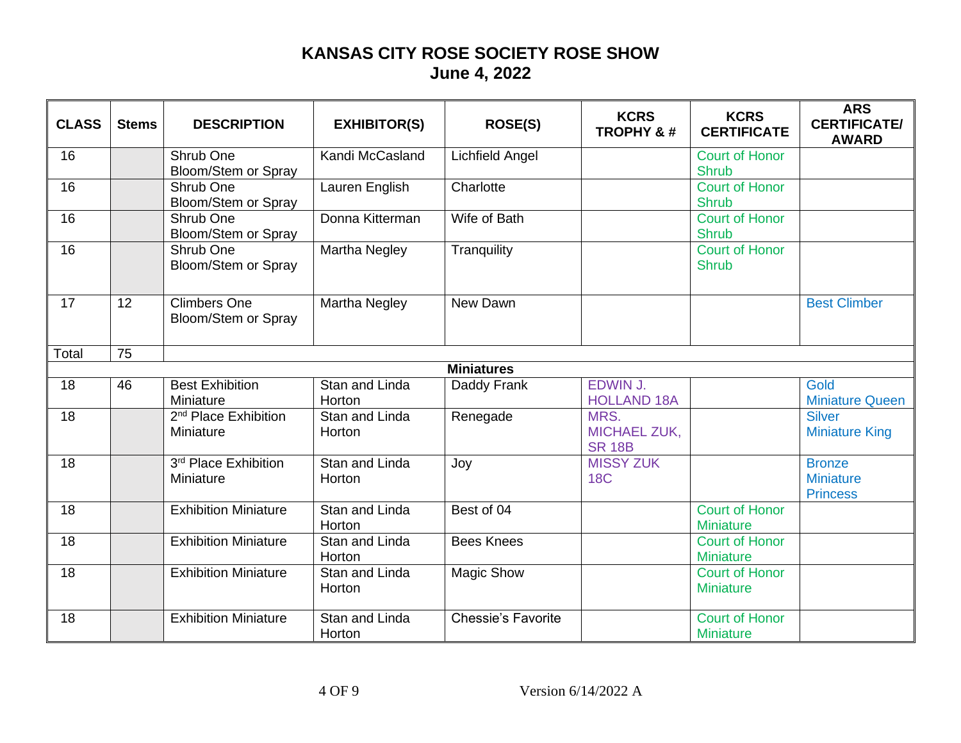| <b>CLASS</b> | <b>Stems</b> | <b>DESCRIPTION</b> | <b>EXHIBITOR(S)</b> | <b>ROSE(S)</b> | <b>KCRS</b><br><b>TROPHY &amp;#&lt;/b&gt;&lt;/th&gt;&lt;th&gt;&lt;b&gt;KCRS&lt;/b&gt;&lt;br&gt;&lt;b&gt;CERTIFICATE&lt;/b&gt;&lt;/th&gt;&lt;th&gt;&lt;b&gt;ARS&lt;/b&gt;&lt;br&gt;&lt;b&gt;CERTIFICATE/&lt;/b&gt;&lt;br&gt;&lt;b&gt;AWARD&lt;/b&gt;&lt;/th&gt;&lt;/tr&gt;&lt;tr&gt;&lt;td&gt;16&lt;/td&gt;&lt;td&gt;&lt;/td&gt;&lt;td&gt;Shrub One&lt;br&gt;Bloom/Stem or Spray&lt;/td&gt;&lt;td&gt;Kandi McCasland&lt;/td&gt;&lt;td&gt;&lt;b&gt;Lichfield Angel&lt;/b&gt;&lt;/td&gt;&lt;td&gt;&lt;/td&gt;&lt;td&gt;&lt;b&gt;Court of Honor&lt;/b&gt;&lt;br&gt;&lt;b&gt;Shrub&lt;/b&gt;&lt;/td&gt;&lt;td&gt;&lt;/td&gt;&lt;/tr&gt;&lt;tr&gt;&lt;td&gt;16&lt;/td&gt;&lt;td&gt;&lt;/td&gt;&lt;td&gt;Shrub One&lt;br&gt;Bloom/Stem or Spray&lt;/td&gt;&lt;td&gt;Lauren English&lt;/td&gt;&lt;td&gt;Charlotte&lt;/td&gt;&lt;td&gt;&lt;/td&gt;&lt;td&gt;&lt;b&gt;Court of Honor&lt;/b&gt;&lt;br&gt;&lt;b&gt;Shrub&lt;/b&gt;&lt;/td&gt;&lt;td&gt;&lt;/td&gt;&lt;/tr&gt;&lt;tr&gt;&lt;td&gt;16&lt;/td&gt;&lt;td&gt;&lt;/td&gt;&lt;td&gt;Shrub One&lt;br&gt;Bloom/Stem or Spray&lt;/td&gt;&lt;td&gt;Donna Kitterman&lt;/td&gt;&lt;td&gt;Wife of Bath&lt;/td&gt;&lt;td&gt;&lt;/td&gt;&lt;td&gt;&lt;b&gt;Court of Honor&lt;/b&gt;&lt;br&gt;&lt;b&gt;Shrub&lt;/b&gt;&lt;/td&gt;&lt;td&gt;&lt;/td&gt;&lt;/tr&gt;&lt;tr&gt;&lt;td&gt;16&lt;/td&gt;&lt;td&gt;&lt;/td&gt;&lt;td&gt;Shrub One&lt;br&gt;Bloom/Stem or Spray&lt;/td&gt;&lt;td&gt;Martha Negley&lt;/td&gt;&lt;td&gt;Tranquility&lt;/td&gt;&lt;td&gt;&lt;/td&gt;&lt;td&gt;&lt;b&gt;Court of Honor&lt;/b&gt;&lt;br&gt;&lt;b&gt;Shrub&lt;/b&gt;&lt;/td&gt;&lt;td&gt;&lt;/td&gt;&lt;/tr&gt;&lt;tr&gt;&lt;td&gt;17&lt;/td&gt;&lt;td&gt;12&lt;/td&gt;&lt;td&gt;&lt;b&gt;Climbers One&lt;/b&gt;&lt;br&gt;Bloom/Stem or Spray&lt;/td&gt;&lt;td&gt;Martha Negley&lt;/td&gt;&lt;td&gt;New Dawn&lt;/td&gt;&lt;td&gt;&lt;/td&gt;&lt;td&gt;&lt;/td&gt;&lt;td&gt;&lt;b&gt;Best Climber&lt;/b&gt;&lt;/td&gt;&lt;/tr&gt;&lt;tr&gt;&lt;td&gt;Total&lt;/td&gt;&lt;td&gt;75&lt;/td&gt;&lt;td&gt;&lt;/td&gt;&lt;td&gt;&lt;/td&gt;&lt;td&gt;&lt;/td&gt;&lt;td&gt;&lt;/td&gt;&lt;td&gt;&lt;/td&gt;&lt;td&gt;&lt;/td&gt;&lt;/tr&gt;&lt;tr&gt;&lt;th&gt;&lt;/th&gt;&lt;th&gt;&lt;/th&gt;&lt;th&gt;&lt;/th&gt;&lt;th&gt;&lt;/th&gt;&lt;th&gt;&lt;b&gt;Miniatures&lt;/b&gt;&lt;/th&gt;&lt;th&gt;&lt;/th&gt;&lt;th&gt;&lt;/th&gt;&lt;th&gt;&lt;/th&gt;&lt;/tr&gt;&lt;tr&gt;&lt;td&gt;18&lt;/td&gt;&lt;td&gt;46&lt;/td&gt;&lt;td&gt;&lt;b&gt;Best Exhibition&lt;/b&gt;&lt;br&gt;Miniature&lt;/td&gt;&lt;td&gt;Stan and Linda&lt;br&gt;Horton&lt;/td&gt;&lt;td&gt;Daddy Frank&lt;/td&gt;&lt;td&gt;EDWIN J.&lt;br&gt;&lt;b&gt;HOLLAND 18A&lt;/b&gt;&lt;/td&gt;&lt;td&gt;&lt;/td&gt;&lt;td&gt;Gold&lt;br&gt;&lt;b&gt;Miniature Queen&lt;/b&gt;&lt;/td&gt;&lt;/tr&gt;&lt;tr&gt;&lt;td&gt;18&lt;/td&gt;&lt;td&gt;&lt;/td&gt;&lt;td&gt;2&lt;sup&gt;nd&lt;/sup&gt; Place Exhibition&lt;br&gt;Miniature&lt;/td&gt;&lt;td&gt;Stan and Linda&lt;br&gt;Horton&lt;/td&gt;&lt;td&gt;Renegade&lt;/td&gt;&lt;td&gt;MRS.&lt;br&gt;&lt;b&gt;MICHAEL ZUK,&lt;/b&gt;&lt;br&gt;&lt;b&gt;SR 18B&lt;/b&gt;&lt;/td&gt;&lt;td&gt;&lt;/td&gt;&lt;td&gt;&lt;b&gt;Silver&lt;/b&gt;&lt;br&gt;&lt;b&gt;Miniature King&lt;/b&gt;&lt;/td&gt;&lt;/tr&gt;&lt;tr&gt;&lt;td&gt;18&lt;/td&gt;&lt;td&gt;&lt;/td&gt;&lt;td&gt;3rd Place Exhibition&lt;br&gt;Miniature&lt;/td&gt;&lt;td&gt;Stan and Linda&lt;br&gt;Horton&lt;/td&gt;&lt;td&gt;Joy&lt;/td&gt;&lt;td&gt;&lt;b&gt;MISSY ZUK&lt;/b&gt;&lt;br&gt;&lt;b&gt;18C&lt;/b&gt;&lt;/td&gt;&lt;td&gt;&lt;/td&gt;&lt;td&gt;&lt;b&gt;Bronze&lt;/b&gt;&lt;br&gt;&lt;b&gt;Miniature&lt;/b&gt;&lt;br&gt;&lt;b&gt;Princess&lt;/b&gt;&lt;/td&gt;&lt;/tr&gt;&lt;tr&gt;&lt;td&gt;18&lt;/td&gt;&lt;td&gt;&lt;/td&gt;&lt;td&gt;&lt;b&gt;Exhibition Miniature&lt;/b&gt;&lt;/td&gt;&lt;td&gt;Stan and Linda&lt;br&gt;Horton&lt;/td&gt;&lt;td&gt;Best of 04&lt;/td&gt;&lt;td&gt;&lt;/td&gt;&lt;td&gt;&lt;b&gt;Court of Honor&lt;/b&gt;&lt;br&gt;&lt;b&gt;Miniature&lt;/b&gt;&lt;/td&gt;&lt;td&gt;&lt;/td&gt;&lt;/tr&gt;&lt;tr&gt;&lt;td&gt;18&lt;/td&gt;&lt;td&gt;&lt;/td&gt;&lt;td&gt;&lt;b&gt;Exhibition Miniature&lt;/b&gt;&lt;/td&gt;&lt;td&gt;&lt;b&gt;Stan and Linda&lt;/b&gt;&lt;br&gt;Horton&lt;/td&gt;&lt;td&gt;&lt;b&gt;Bees Knees&lt;/b&gt;&lt;/td&gt;&lt;td&gt;&lt;/td&gt;&lt;td&gt;&lt;b&gt;Court of Honor&lt;/b&gt;&lt;br&gt;&lt;b&gt;Miniature&lt;/b&gt;&lt;/td&gt;&lt;td&gt;&lt;/td&gt;&lt;/tr&gt;&lt;tr&gt;&lt;td&gt;18&lt;/td&gt;&lt;td&gt;&lt;/td&gt;&lt;td&gt;&lt;b&gt;Exhibition Miniature&lt;/b&gt;&lt;/td&gt;&lt;td&gt;Stan and Linda&lt;br&gt;Horton&lt;/td&gt;&lt;td&gt;&lt;b&gt;Magic Show&lt;/b&gt;&lt;/td&gt;&lt;td&gt;&lt;/td&gt;&lt;td&gt;&lt;b&gt;Court of Honor&lt;/b&gt;&lt;br&gt;&lt;b&gt;Miniature&lt;/b&gt;&lt;/td&gt;&lt;td&gt;&lt;/td&gt;&lt;/tr&gt;&lt;tr&gt;&lt;td&gt;18&lt;/td&gt;&lt;td&gt;&lt;/td&gt;&lt;td&gt;&lt;b&gt;Exhibition Miniature&lt;/b&gt;&lt;/td&gt;&lt;td&gt;Stan and Linda&lt;br&gt;Horton&lt;/td&gt;&lt;td&gt;&lt;b&gt;Chessie's Favorite&lt;/b&gt;&lt;/td&gt;&lt;td&gt;&lt;/td&gt;&lt;td&gt;&lt;b&gt;Court of Honor&lt;/b&gt;&lt;br&gt;&lt;b&gt;Miniature&lt;/b&gt;&lt;/td&gt;&lt;td&gt;&lt;/td&gt;&lt;/tr&gt;&lt;/tbody&gt;&lt;/table&gt;</b> |
|--------------|--------------|--------------------|---------------------|----------------|--------------------------------------------------------------------------------------------------------------------------------------------------------------------------------------------------------------------------------------------------------------------------------------------------------------------------------------------------------------------------------------------------------------------------------------------------------------------------------------------------------------------------------------------------------------------------------------------------------------------------------------------------------------------------------------------------------------------------------------------------------------------------------------------------------------------------------------------------------------------------------------------------------------------------------------------------------------------------------------------------------------------------------------------------------------------------------------------------------------------------------------------------------------------------------------------------------------------------------------------------------------------------------------------------------------------------------------------------------------------------------------------------------------------------------------------------------------------------------------------------------------------------------------------------------------------------------------------------------------------------------------------------------------------------------------------------------------------------------------------------------------------------------------------------------------------------------------------------------------------------------------------------------------------------------------------------------------------------------------------------------------------------------------------------------------------------------------------------------------------------------------------------------------------------------------------------------------------------------------------------------------------------------------------------------------------------------------------------------------------------------------------------------------------------------------------------------------------------------------------------------------------------------------------------------------------------------------------------------------------------------------------------------------------------------------------------------------------------------------------------------------------------------------------------------------------------------------------------------------------------------------------------------------------------------------------------------------------------------------------------------------------------------------------------------------------------------------------------------------------------------------------------------------------------------------------------------------------------------------------------------------------------------------------------------------------------------------------------------------------------------------------------------------------------------------------------------------------------------------------------------------------------------------------------------------------------------------------------------------------------------------------------------------------------------------------------------------------------------------------------------------------------------------------------------------------------------------------------------------------------------------------------------------------------------------------------------------------------------------------------------------------------------------------------------------------------------------------------------------------------------------------------------------------------------------------------------------------------------------------------------------------------------------------------------------------------------------------------------------------------------------------------------------------------------------------------------------------------------------------------------------------------------------------------------------------------------------------------------------------------------------------------------------------------------------------------------------------------------------------------------------------------------------------------------------------------------------------------------------------------------------------------------------------------------------------------------------------------------------------------------------------------------------------------------------------------------------------------------------------------------------------------------------------------------------------------------------------------|
|--------------|--------------|--------------------|---------------------|----------------|--------------------------------------------------------------------------------------------------------------------------------------------------------------------------------------------------------------------------------------------------------------------------------------------------------------------------------------------------------------------------------------------------------------------------------------------------------------------------------------------------------------------------------------------------------------------------------------------------------------------------------------------------------------------------------------------------------------------------------------------------------------------------------------------------------------------------------------------------------------------------------------------------------------------------------------------------------------------------------------------------------------------------------------------------------------------------------------------------------------------------------------------------------------------------------------------------------------------------------------------------------------------------------------------------------------------------------------------------------------------------------------------------------------------------------------------------------------------------------------------------------------------------------------------------------------------------------------------------------------------------------------------------------------------------------------------------------------------------------------------------------------------------------------------------------------------------------------------------------------------------------------------------------------------------------------------------------------------------------------------------------------------------------------------------------------------------------------------------------------------------------------------------------------------------------------------------------------------------------------------------------------------------------------------------------------------------------------------------------------------------------------------------------------------------------------------------------------------------------------------------------------------------------------------------------------------------------------------------------------------------------------------------------------------------------------------------------------------------------------------------------------------------------------------------------------------------------------------------------------------------------------------------------------------------------------------------------------------------------------------------------------------------------------------------------------------------------------------------------------------------------------------------------------------------------------------------------------------------------------------------------------------------------------------------------------------------------------------------------------------------------------------------------------------------------------------------------------------------------------------------------------------------------------------------------------------------------------------------------------------------------------------------------------------------------------------------------------------------------------------------------------------------------------------------------------------------------------------------------------------------------------------------------------------------------------------------------------------------------------------------------------------------------------------------------------------------------------------------------------------------------------------------------------------------------------------------------------------------------------------------------------------------------------------------------------------------------------------------------------------------------------------------------------------------------------------------------------------------------------------------------------------------------------------------------------------------------------------------------------------------------------------------------------------------------------------------------------------------------------------------------------------------------------------------------------------------------------------------------------------------------------------------------------------------------------------------------------------------------------------------------------------------------------------------------------------------------------------------------------------------------------------------------------------------------------------------------------------------|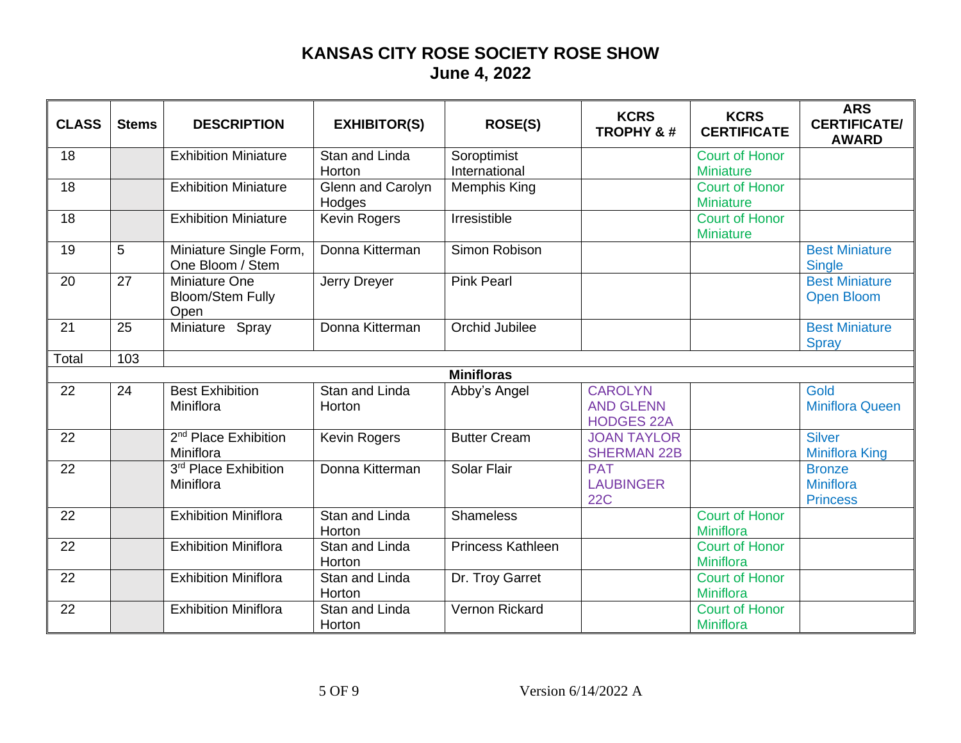| <b>CLASS</b> | <b>Stems</b> | <b>DESCRIPTION</b> | <b>EXHIBITOR(S)</b> | <b>ROSE(S)</b> | <b>KCRS</b><br><b>TROPHY &amp;#&lt;/b&gt;&lt;/th&gt;&lt;th&gt;&lt;b&gt;KCRS&lt;/b&gt;&lt;br&gt;&lt;b&gt;CERTIFICATE&lt;/b&gt;&lt;/th&gt;&lt;th&gt;&lt;b&gt;ARS&lt;/b&gt;&lt;br&gt;&lt;b&gt;CERTIFICATE/&lt;/b&gt;&lt;br&gt;&lt;b&gt;AWARD&lt;/b&gt;&lt;/th&gt;&lt;/tr&gt;&lt;tr&gt;&lt;td&gt;18&lt;/td&gt;&lt;td&gt;&lt;/td&gt;&lt;td&gt;&lt;b&gt;Exhibition Miniature&lt;/b&gt;&lt;/td&gt;&lt;td&gt;Stan and Linda&lt;br&gt;Horton&lt;/td&gt;&lt;td&gt;Soroptimist&lt;br&gt;International&lt;/td&gt;&lt;td&gt;&lt;/td&gt;&lt;td&gt;&lt;b&gt;Court of Honor&lt;/b&gt;&lt;br&gt;&lt;b&gt;Miniature&lt;/b&gt;&lt;/td&gt;&lt;td&gt;&lt;/td&gt;&lt;/tr&gt;&lt;tr&gt;&lt;td&gt;18&lt;/td&gt;&lt;td&gt;&lt;/td&gt;&lt;td&gt;&lt;b&gt;Exhibition Miniature&lt;/b&gt;&lt;/td&gt;&lt;td&gt;Glenn and Carolyn&lt;br&gt;Hodges&lt;/td&gt;&lt;td&gt;&lt;b&gt;Memphis King&lt;/b&gt;&lt;/td&gt;&lt;td&gt;&lt;/td&gt;&lt;td&gt;&lt;b&gt;Court of Honor&lt;/b&gt;&lt;br&gt;&lt;b&gt;Miniature&lt;/b&gt;&lt;/td&gt;&lt;td&gt;&lt;/td&gt;&lt;/tr&gt;&lt;tr&gt;&lt;td&gt;18&lt;/td&gt;&lt;td&gt;&lt;/td&gt;&lt;td&gt;&lt;b&gt;Exhibition Miniature&lt;/b&gt;&lt;/td&gt;&lt;td&gt;&lt;b&gt;Kevin Rogers&lt;/b&gt;&lt;/td&gt;&lt;td&gt;Irresistible&lt;/td&gt;&lt;td&gt;&lt;/td&gt;&lt;td&gt;&lt;b&gt;Court of Honor&lt;/b&gt;&lt;br&gt;&lt;b&gt;Miniature&lt;/b&gt;&lt;/td&gt;&lt;td&gt;&lt;/td&gt;&lt;/tr&gt;&lt;tr&gt;&lt;td&gt;19&lt;/td&gt;&lt;td&gt;5&lt;/td&gt;&lt;td&gt;Miniature Single Form,&lt;br&gt;One Bloom / Stem&lt;/td&gt;&lt;td&gt;Donna Kitterman&lt;/td&gt;&lt;td&gt;Simon Robison&lt;/td&gt;&lt;td&gt;&lt;/td&gt;&lt;td&gt;&lt;/td&gt;&lt;td&gt;&lt;b&gt;Best Miniature&lt;/b&gt;&lt;br&gt;&lt;b&gt;Single&lt;/b&gt;&lt;/td&gt;&lt;/tr&gt;&lt;tr&gt;&lt;td&gt;20&lt;/td&gt;&lt;td&gt;27&lt;/td&gt;&lt;td&gt;&lt;b&gt;Miniature One&lt;/b&gt;&lt;br&gt;&lt;b&gt;Bloom/Stem Fully&lt;/b&gt;&lt;br&gt;Open&lt;/td&gt;&lt;td&gt;Jerry Dreyer&lt;/td&gt;&lt;td&gt;&lt;b&gt;Pink Pearl&lt;/b&gt;&lt;/td&gt;&lt;td&gt;&lt;/td&gt;&lt;td&gt;&lt;/td&gt;&lt;td&gt;&lt;b&gt;Best Miniature&lt;/b&gt;&lt;br&gt;&lt;b&gt;Open Bloom&lt;/b&gt;&lt;/td&gt;&lt;/tr&gt;&lt;tr&gt;&lt;td&gt;21&lt;/td&gt;&lt;td&gt;25&lt;/td&gt;&lt;td&gt;Miniature Spray&lt;/td&gt;&lt;td&gt;Donna Kitterman&lt;/td&gt;&lt;td&gt;Orchid Jubilee&lt;/td&gt;&lt;td&gt;&lt;/td&gt;&lt;td&gt;&lt;/td&gt;&lt;td&gt;&lt;b&gt;Best Miniature&lt;/b&gt;&lt;br&gt;&lt;b&gt;Spray&lt;/b&gt;&lt;/td&gt;&lt;/tr&gt;&lt;tr&gt;&lt;td&gt;Total&lt;/td&gt;&lt;td&gt;103&lt;/td&gt;&lt;td&gt;&lt;/td&gt;&lt;td&gt;&lt;/td&gt;&lt;td&gt;&lt;/td&gt;&lt;td&gt;&lt;/td&gt;&lt;td&gt;&lt;/td&gt;&lt;td&gt;&lt;/td&gt;&lt;/tr&gt;&lt;tr&gt;&lt;th&gt;&lt;/th&gt;&lt;th&gt;&lt;/th&gt;&lt;th&gt;&lt;/th&gt;&lt;th&gt;&lt;/th&gt;&lt;th&gt;&lt;b&gt;Minifloras&lt;/b&gt;&lt;/th&gt;&lt;th&gt;&lt;/th&gt;&lt;th&gt;&lt;/th&gt;&lt;th&gt;&lt;/th&gt;&lt;/tr&gt;&lt;tr&gt;&lt;td&gt;22&lt;/td&gt;&lt;td&gt;24&lt;/td&gt;&lt;td&gt;&lt;b&gt;Best Exhibition&lt;/b&gt;&lt;br&gt;Miniflora&lt;/td&gt;&lt;td&gt;Stan and Linda&lt;br&gt;Horton&lt;/td&gt;&lt;td&gt;Abby's Angel&lt;/td&gt;&lt;td&gt;&lt;b&gt;CAROLYN&lt;/b&gt;&lt;br&gt;&lt;b&gt;AND GLENN&lt;/b&gt;&lt;br&gt;&lt;b&gt;HODGES 22A&lt;/b&gt;&lt;/td&gt;&lt;td&gt;&lt;/td&gt;&lt;td&gt;Gold&lt;br&gt;&lt;b&gt;Miniflora Queen&lt;/b&gt;&lt;/td&gt;&lt;/tr&gt;&lt;tr&gt;&lt;td&gt;22&lt;/td&gt;&lt;td&gt;&lt;/td&gt;&lt;td&gt;2&lt;sup&gt;nd&lt;/sup&gt; Place Exhibition&lt;br&gt;Miniflora&lt;/td&gt;&lt;td&gt;&lt;b&gt;Kevin Rogers&lt;/b&gt;&lt;/td&gt;&lt;td&gt;&lt;b&gt;Butter Cream&lt;/b&gt;&lt;/td&gt;&lt;td&gt;&lt;b&gt;JOAN TAYLOR&lt;/b&gt;&lt;br&gt;&lt;b&gt;SHERMAN 22B&lt;/b&gt;&lt;/td&gt;&lt;td&gt;&lt;/td&gt;&lt;td&gt;&lt;b&gt;Silver&lt;/b&gt;&lt;br&gt;&lt;b&gt;Miniflora King&lt;/b&gt;&lt;/td&gt;&lt;/tr&gt;&lt;tr&gt;&lt;td&gt;22&lt;/td&gt;&lt;td&gt;&lt;/td&gt;&lt;td&gt;3rd Place Exhibition&lt;br&gt;Miniflora&lt;/td&gt;&lt;td&gt;Donna Kitterman&lt;/td&gt;&lt;td&gt;Solar Flair&lt;/td&gt;&lt;td&gt;&lt;b&gt;PAT&lt;/b&gt;&lt;br&gt;&lt;b&gt;LAUBINGER&lt;/b&gt;&lt;br&gt;&lt;b&gt;22C&lt;/b&gt;&lt;/td&gt;&lt;td&gt;&lt;/td&gt;&lt;td&gt;&lt;b&gt;Bronze&lt;/b&gt;&lt;br&gt;Miniflora&lt;br&gt;&lt;b&gt;Princess&lt;/b&gt;&lt;/td&gt;&lt;/tr&gt;&lt;tr&gt;&lt;td&gt;22&lt;/td&gt;&lt;td&gt;&lt;/td&gt;&lt;td&gt;&lt;b&gt;Exhibition Miniflora&lt;/b&gt;&lt;/td&gt;&lt;td&gt;Stan and Linda&lt;br&gt;Horton&lt;/td&gt;&lt;td&gt;Shameless&lt;/td&gt;&lt;td&gt;&lt;/td&gt;&lt;td&gt;&lt;b&gt;Court of Honor&lt;/b&gt;&lt;br&gt;Miniflora&lt;/td&gt;&lt;td&gt;&lt;/td&gt;&lt;/tr&gt;&lt;tr&gt;&lt;td&gt;22&lt;/td&gt;&lt;td&gt;&lt;/td&gt;&lt;td&gt;&lt;b&gt;Exhibition Miniflora&lt;/b&gt;&lt;/td&gt;&lt;td&gt;&lt;b&gt;Stan and Linda&lt;/b&gt;&lt;br&gt;Horton&lt;/td&gt;&lt;td&gt;&lt;b&gt;Princess Kathleen&lt;/b&gt;&lt;/td&gt;&lt;td&gt;&lt;/td&gt;&lt;td&gt;&lt;b&gt;Court of Honor&lt;/b&gt;&lt;br&gt;Miniflora&lt;/td&gt;&lt;td&gt;&lt;/td&gt;&lt;/tr&gt;&lt;tr&gt;&lt;td&gt;22&lt;/td&gt;&lt;td&gt;&lt;/td&gt;&lt;td&gt;&lt;b&gt;Exhibition Miniflora&lt;/b&gt;&lt;/td&gt;&lt;td&gt;Stan and Linda&lt;br&gt;Horton&lt;/td&gt;&lt;td&gt;Dr. Troy Garret&lt;/td&gt;&lt;td&gt;&lt;/td&gt;&lt;td&gt;&lt;b&gt;Court of Honor&lt;/b&gt;&lt;br&gt;Miniflora&lt;/td&gt;&lt;td&gt;&lt;/td&gt;&lt;/tr&gt;&lt;tr&gt;&lt;td&gt;22&lt;/td&gt;&lt;td&gt;&lt;/td&gt;&lt;td&gt;&lt;b&gt;Exhibition Miniflora&lt;/b&gt;&lt;/td&gt;&lt;td&gt;Stan and Linda&lt;br&gt;Horton&lt;/td&gt;&lt;td&gt;Vernon Rickard&lt;/td&gt;&lt;td&gt;&lt;/td&gt;&lt;td&gt;&lt;b&gt;Court of Honor&lt;/b&gt;&lt;br&gt;Miniflora&lt;/td&gt;&lt;td&gt;&lt;/td&gt;&lt;/tr&gt;&lt;/tbody&gt;&lt;/table&gt;</b> |
|--------------|--------------|--------------------|---------------------|----------------|---------------------------------------------------------------------------------------------------------------------------------------------------------------------------------------------------------------------------------------------------------------------------------------------------------------------------------------------------------------------------------------------------------------------------------------------------------------------------------------------------------------------------------------------------------------------------------------------------------------------------------------------------------------------------------------------------------------------------------------------------------------------------------------------------------------------------------------------------------------------------------------------------------------------------------------------------------------------------------------------------------------------------------------------------------------------------------------------------------------------------------------------------------------------------------------------------------------------------------------------------------------------------------------------------------------------------------------------------------------------------------------------------------------------------------------------------------------------------------------------------------------------------------------------------------------------------------------------------------------------------------------------------------------------------------------------------------------------------------------------------------------------------------------------------------------------------------------------------------------------------------------------------------------------------------------------------------------------------------------------------------------------------------------------------------------------------------------------------------------------------------------------------------------------------------------------------------------------------------------------------------------------------------------------------------------------------------------------------------------------------------------------------------------------------------------------------------------------------------------------------------------------------------------------------------------------------------------------------------------------------------------------------------------------------------------------------------------------------------------------------------------------------------------------------------------------------------------------------------------------------------------------------------------------------------------------------------------------------------------------------------------------------------------------------------------------------------------------------------------------------------------------------------------------------------------------------------------------------------------------------------------------------------------------------------------------------------------------------------------------------------------------------------------------------------------------------------------------------------------------------------------------------------------------------------------------------------------------------------------------------------------------------------------------------------------------------------------------------------------------------------------------------------------------------------------------------------------------------------------------------------------------------------------------------------------------------------------------------------------------------------------------------------------------------------------------------------------------------------------------------------------------------------------------------------------------------------------------------------------------------------------------------------------------------------------------------------------------------------------------------------------------------------------------------------------------------------------------------------------------------------------------------------------------------------------------------------------------------------------------------------------------------------------------------------------------------------------------------------------------------------------------------------------------------------------------------------------------------------------------------------------------------------------------------------------------------------------------------------------------------------------------------------------------------------------------------------------------------------------------------------------------------------------------------------------------------------------------------------------------------------------------------------------------------------------------------------------------------------------------------------------------------------------------------------------------------------------------------------------------------------------------------------------------------------------------------------------------------------------------------------------------------------------------------------------------------------------|
|--------------|--------------|--------------------|---------------------|----------------|---------------------------------------------------------------------------------------------------------------------------------------------------------------------------------------------------------------------------------------------------------------------------------------------------------------------------------------------------------------------------------------------------------------------------------------------------------------------------------------------------------------------------------------------------------------------------------------------------------------------------------------------------------------------------------------------------------------------------------------------------------------------------------------------------------------------------------------------------------------------------------------------------------------------------------------------------------------------------------------------------------------------------------------------------------------------------------------------------------------------------------------------------------------------------------------------------------------------------------------------------------------------------------------------------------------------------------------------------------------------------------------------------------------------------------------------------------------------------------------------------------------------------------------------------------------------------------------------------------------------------------------------------------------------------------------------------------------------------------------------------------------------------------------------------------------------------------------------------------------------------------------------------------------------------------------------------------------------------------------------------------------------------------------------------------------------------------------------------------------------------------------------------------------------------------------------------------------------------------------------------------------------------------------------------------------------------------------------------------------------------------------------------------------------------------------------------------------------------------------------------------------------------------------------------------------------------------------------------------------------------------------------------------------------------------------------------------------------------------------------------------------------------------------------------------------------------------------------------------------------------------------------------------------------------------------------------------------------------------------------------------------------------------------------------------------------------------------------------------------------------------------------------------------------------------------------------------------------------------------------------------------------------------------------------------------------------------------------------------------------------------------------------------------------------------------------------------------------------------------------------------------------------------------------------------------------------------------------------------------------------------------------------------------------------------------------------------------------------------------------------------------------------------------------------------------------------------------------------------------------------------------------------------------------------------------------------------------------------------------------------------------------------------------------------------------------------------------------------------------------------------------------------------------------------------------------------------------------------------------------------------------------------------------------------------------------------------------------------------------------------------------------------------------------------------------------------------------------------------------------------------------------------------------------------------------------------------------------------------------------------------------------------------------------------------------------------------------------------------------------------------------------------------------------------------------------------------------------------------------------------------------------------------------------------------------------------------------------------------------------------------------------------------------------------------------------------------------------------------------------------------------------------------------------------------------------------------------------------------------------------------------------------------------------------------------------------------------------------------------------------------------------------------------------------------------------------------------------------------------------------------------------------------------------------------------------------------------------------------------------------------------------------------------------------------------------------------------|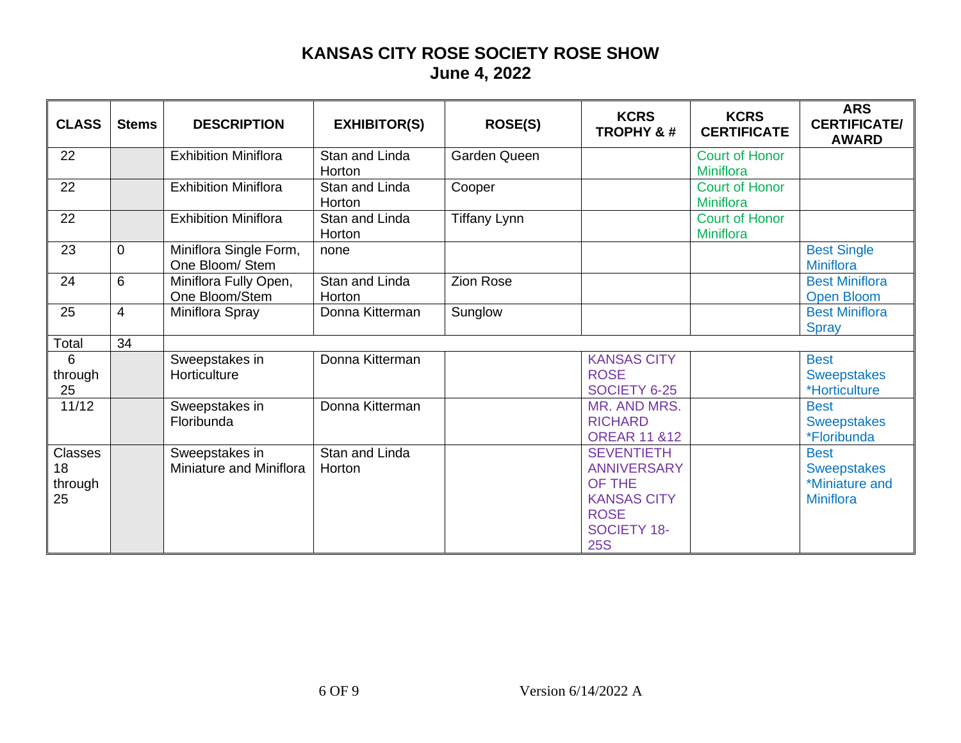| <b>CLASS</b> | <b>Stems</b> | <b>DESCRIPTION</b> | <b>EXHIBITOR(S)</b> | <b>ROSE(S)</b> | <b>KCRS</b><br><b>TROPHY &amp;#&lt;/b&gt;&lt;/th&gt;&lt;th&gt;&lt;b&gt;KCRS&lt;/b&gt;&lt;br&gt;&lt;b&gt;CERTIFICATE&lt;/b&gt;&lt;/th&gt;&lt;th&gt;&lt;b&gt;ARS&lt;/b&gt;&lt;br&gt;&lt;b&gt;CERTIFICATE/&lt;/b&gt;&lt;br&gt;&lt;b&gt;AWARD&lt;/b&gt;&lt;/th&gt;&lt;/tr&gt;&lt;tr&gt;&lt;td&gt;22&lt;/td&gt;&lt;td&gt;&lt;/td&gt;&lt;td&gt;&lt;b&gt;Exhibition Miniflora&lt;/b&gt;&lt;/td&gt;&lt;td&gt;Stan and Linda&lt;br&gt;Horton&lt;/td&gt;&lt;td&gt;Garden Queen&lt;/td&gt;&lt;td&gt;&lt;/td&gt;&lt;td&gt;&lt;b&gt;Court of Honor&lt;/b&gt;&lt;br&gt;Miniflora&lt;/td&gt;&lt;td&gt;&lt;/td&gt;&lt;/tr&gt;&lt;tr&gt;&lt;td&gt;22&lt;/td&gt;&lt;td&gt;&lt;/td&gt;&lt;td&gt;&lt;b&gt;Exhibition Miniflora&lt;/b&gt;&lt;/td&gt;&lt;td&gt;Stan and Linda&lt;br&gt;Horton&lt;/td&gt;&lt;td&gt;Cooper&lt;/td&gt;&lt;td&gt;&lt;/td&gt;&lt;td&gt;&lt;b&gt;Court of Honor&lt;/b&gt;&lt;br&gt;&lt;b&gt;Miniflora&lt;/b&gt;&lt;/td&gt;&lt;td&gt;&lt;/td&gt;&lt;/tr&gt;&lt;tr&gt;&lt;td&gt;22&lt;/td&gt;&lt;td&gt;&lt;/td&gt;&lt;td&gt;&lt;b&gt;Exhibition Miniflora&lt;/b&gt;&lt;/td&gt;&lt;td&gt;Stan and Linda&lt;br&gt;Horton&lt;/td&gt;&lt;td&gt;&lt;b&gt;Tiffany Lynn&lt;/b&gt;&lt;/td&gt;&lt;td&gt;&lt;/td&gt;&lt;td&gt;&lt;b&gt;Court of Honor&lt;/b&gt;&lt;br&gt;Miniflora&lt;/td&gt;&lt;td&gt;&lt;/td&gt;&lt;/tr&gt;&lt;tr&gt;&lt;td&gt;23&lt;/td&gt;&lt;td&gt;&lt;math&gt;\mathbf 0&lt;/math&gt;&lt;/td&gt;&lt;td&gt;Miniflora Single Form,&lt;br&gt;One Bloom/ Stem&lt;/td&gt;&lt;td&gt;none&lt;/td&gt;&lt;td&gt;&lt;/td&gt;&lt;td&gt;&lt;/td&gt;&lt;td&gt;&lt;/td&gt;&lt;td&gt;&lt;b&gt;Best Single&lt;/b&gt;&lt;br&gt;&lt;b&gt;Miniflora&lt;/b&gt;&lt;/td&gt;&lt;/tr&gt;&lt;tr&gt;&lt;td&gt;24&lt;/td&gt;&lt;td&gt;6&lt;/td&gt;&lt;td&gt;Miniflora Fully Open,&lt;br&gt;One Bloom/Stem&lt;/td&gt;&lt;td&gt;Stan and Linda&lt;br&gt;Horton&lt;/td&gt;&lt;td&gt;Zion Rose&lt;/td&gt;&lt;td&gt;&lt;/td&gt;&lt;td&gt;&lt;/td&gt;&lt;td&gt;&lt;b&gt;Best Miniflora&lt;/b&gt;&lt;br&gt;&lt;b&gt;Open Bloom&lt;/b&gt;&lt;/td&gt;&lt;/tr&gt;&lt;tr&gt;&lt;td&gt;25&lt;/td&gt;&lt;td&gt;&lt;math&gt;\overline{4}&lt;/math&gt;&lt;/td&gt;&lt;td&gt;Miniflora Spray&lt;/td&gt;&lt;td&gt;Donna Kitterman&lt;/td&gt;&lt;td&gt;Sunglow&lt;/td&gt;&lt;td&gt;&lt;/td&gt;&lt;td&gt;&lt;/td&gt;&lt;td&gt;&lt;b&gt;Best Miniflora&lt;/b&gt;&lt;br&gt;&lt;b&gt;Spray&lt;/b&gt;&lt;/td&gt;&lt;/tr&gt;&lt;tr&gt;&lt;td&gt;Total&lt;/td&gt;&lt;td&gt;34&lt;/td&gt;&lt;td&gt;&lt;/td&gt;&lt;td&gt;&lt;/td&gt;&lt;td&gt;&lt;/td&gt;&lt;td&gt;&lt;/td&gt;&lt;td&gt;&lt;/td&gt;&lt;td&gt;&lt;/td&gt;&lt;/tr&gt;&lt;tr&gt;&lt;td&gt;6&lt;br&gt;through&lt;br&gt;25&lt;/td&gt;&lt;td&gt;&lt;/td&gt;&lt;td&gt;Sweepstakes in&lt;br&gt;Horticulture&lt;/td&gt;&lt;td&gt;Donna Kitterman&lt;/td&gt;&lt;td&gt;&lt;/td&gt;&lt;td&gt;&lt;b&gt;KANSAS CITY&lt;/b&gt;&lt;br&gt;&lt;b&gt;ROSE&lt;/b&gt;&lt;br&gt;SOCIETY 6-25&lt;/td&gt;&lt;td&gt;&lt;/td&gt;&lt;td&gt;&lt;b&gt;Best&lt;/b&gt;&lt;br&gt;&lt;b&gt;Sweepstakes&lt;/b&gt;&lt;br&gt;*Horticulture&lt;/td&gt;&lt;/tr&gt;&lt;tr&gt;&lt;td&gt;11/12&lt;/td&gt;&lt;td&gt;&lt;/td&gt;&lt;td&gt;Sweepstakes in&lt;br&gt;Floribunda&lt;/td&gt;&lt;td&gt;Donna Kitterman&lt;/td&gt;&lt;td&gt;&lt;/td&gt;&lt;td&gt;MR. AND MRS.&lt;br&gt;&lt;b&gt;RICHARD&lt;/b&gt;&lt;br&gt;&lt;b&gt;OREAR 11 &amp;12&lt;/b&gt;&lt;/td&gt;&lt;td&gt;&lt;/td&gt;&lt;td&gt;&lt;b&gt;Best&lt;/b&gt;&lt;br&gt;&lt;b&gt;Sweepstakes&lt;/b&gt;&lt;br&gt;*Floribunda&lt;/td&gt;&lt;/tr&gt;&lt;tr&gt;&lt;td&gt;&lt;b&gt;Classes&lt;/b&gt;&lt;br&gt;18&lt;br&gt;through&lt;br&gt;25&lt;/td&gt;&lt;td&gt;&lt;/td&gt;&lt;td&gt;Sweepstakes in&lt;br&gt;Miniature and Miniflora&lt;/td&gt;&lt;td&gt;Stan and Linda&lt;br&gt;Horton&lt;/td&gt;&lt;td&gt;&lt;/td&gt;&lt;td&gt;&lt;b&gt;SEVENTIETH&lt;/b&gt;&lt;br&gt;&lt;b&gt;ANNIVERSARY&lt;/b&gt;&lt;br&gt;OF THE&lt;br&gt;&lt;b&gt;KANSAS CITY&lt;/b&gt;&lt;br&gt;&lt;b&gt;ROSE&lt;/b&gt;&lt;br&gt;&lt;b&gt;SOCIETY 18-&lt;/b&gt;&lt;br&gt;&lt;b&gt;25S&lt;/b&gt;&lt;/td&gt;&lt;td&gt;&lt;/td&gt;&lt;td&gt;&lt;b&gt;Best&lt;/b&gt;&lt;br&gt;&lt;b&gt;Sweepstakes&lt;/b&gt;&lt;br&gt;*Miniature and&lt;br&gt;&lt;b&gt;Miniflora&lt;/b&gt;&lt;/td&gt;&lt;/tr&gt;&lt;/tbody&gt;&lt;/table&gt;</b> |
|--------------|--------------|--------------------|---------------------|----------------|----------------------------------------------------------------------------------------------------------------------------------------------------------------------------------------------------------------------------------------------------------------------------------------------------------------------------------------------------------------------------------------------------------------------------------------------------------------------------------------------------------------------------------------------------------------------------------------------------------------------------------------------------------------------------------------------------------------------------------------------------------------------------------------------------------------------------------------------------------------------------------------------------------------------------------------------------------------------------------------------------------------------------------------------------------------------------------------------------------------------------------------------------------------------------------------------------------------------------------------------------------------------------------------------------------------------------------------------------------------------------------------------------------------------------------------------------------------------------------------------------------------------------------------------------------------------------------------------------------------------------------------------------------------------------------------------------------------------------------------------------------------------------------------------------------------------------------------------------------------------------------------------------------------------------------------------------------------------------------------------------------------------------------------------------------------------------------------------------------------------------------------------------------------------------------------------------------------------------------------------------------------------------------------------------------------------------------------------------------------------------------------------------------------------------------------------------------------------------------------------------------------------------------------------------------------------------------------------------------------------------------------------------------------------------------------------------------------------------------------------------------------------------------------------------------------------------------------------------------------------------------------------------------------------------------------------------------------------------------------------------------------------------------------------------------------------------------------------------------------------------------------------------------------------------------------------------------------------------------------------------------------------------------------------------------------------------------------------------------------------------------------------------------------------------------------------------------------------------------------------------------------------------------------------------------------------------------------------------------------------------------------------------------------------------------------------------------------------------------------------------------------------------------------------------------------------------------------------------------------------------------------------------------------------------------------------------------------------------------------------------------------------------------------------------------------------------------------------------------------------------------------------------------------------------------------------------------------------------------------|
|--------------|--------------|--------------------|---------------------|----------------|----------------------------------------------------------------------------------------------------------------------------------------------------------------------------------------------------------------------------------------------------------------------------------------------------------------------------------------------------------------------------------------------------------------------------------------------------------------------------------------------------------------------------------------------------------------------------------------------------------------------------------------------------------------------------------------------------------------------------------------------------------------------------------------------------------------------------------------------------------------------------------------------------------------------------------------------------------------------------------------------------------------------------------------------------------------------------------------------------------------------------------------------------------------------------------------------------------------------------------------------------------------------------------------------------------------------------------------------------------------------------------------------------------------------------------------------------------------------------------------------------------------------------------------------------------------------------------------------------------------------------------------------------------------------------------------------------------------------------------------------------------------------------------------------------------------------------------------------------------------------------------------------------------------------------------------------------------------------------------------------------------------------------------------------------------------------------------------------------------------------------------------------------------------------------------------------------------------------------------------------------------------------------------------------------------------------------------------------------------------------------------------------------------------------------------------------------------------------------------------------------------------------------------------------------------------------------------------------------------------------------------------------------------------------------------------------------------------------------------------------------------------------------------------------------------------------------------------------------------------------------------------------------------------------------------------------------------------------------------------------------------------------------------------------------------------------------------------------------------------------------------------------------------------------------------------------------------------------------------------------------------------------------------------------------------------------------------------------------------------------------------------------------------------------------------------------------------------------------------------------------------------------------------------------------------------------------------------------------------------------------------------------------------------------------------------------------------------------------------------------------------------------------------------------------------------------------------------------------------------------------------------------------------------------------------------------------------------------------------------------------------------------------------------------------------------------------------------------------------------------------------------------------------------------------------------------------------------------------------------|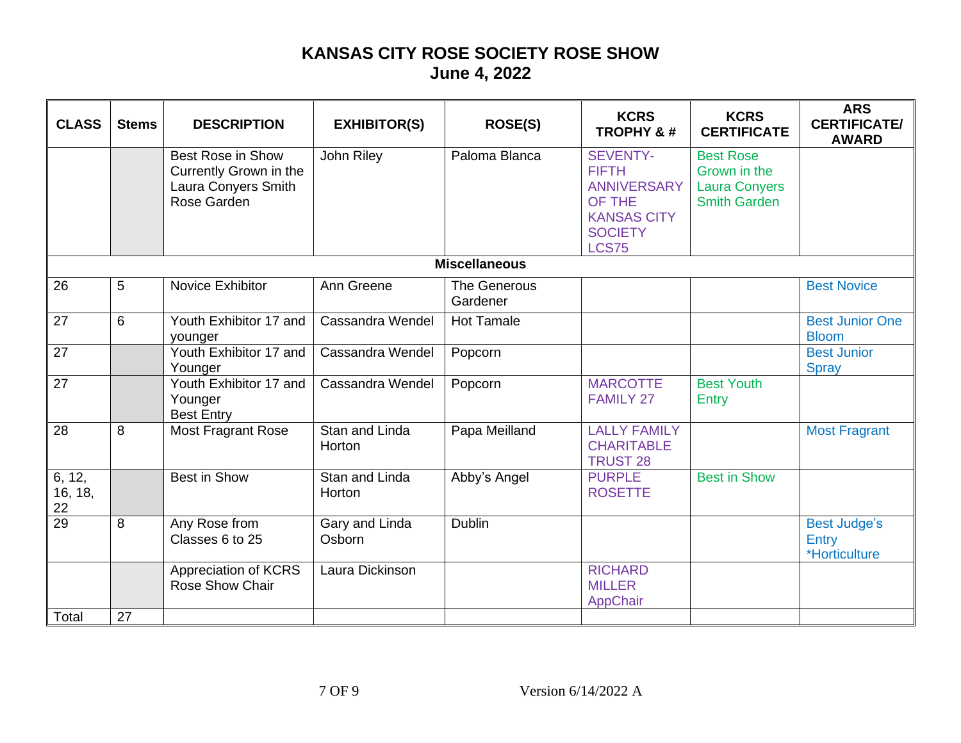| <b>CLASS</b> | <b>Stems</b> | <b>DESCRIPTION</b> | <b>EXHIBITOR(S)</b> | <b>ROSE(S)</b> | <b>KCRS</b><br><b>TROPHY &amp;#&lt;/b&gt;&lt;/th&gt;&lt;th&gt;&lt;b&gt;KCRS&lt;/b&gt;&lt;br&gt;&lt;b&gt;CERTIFICATE&lt;/b&gt;&lt;/th&gt;&lt;th&gt;&lt;b&gt;ARS&lt;/b&gt;&lt;br&gt;&lt;b&gt;CERTIFICATE/&lt;/b&gt;&lt;br&gt;&lt;b&gt;AWARD&lt;/b&gt;&lt;/th&gt;&lt;/tr&gt;&lt;tr&gt;&lt;td&gt;&lt;/td&gt;&lt;td&gt;&lt;/td&gt;&lt;td&gt;&lt;b&gt;Best Rose in Show&lt;/b&gt;&lt;br&gt;Currently Grown in the&lt;br&gt;Laura Conyers Smith&lt;br&gt;Rose Garden&lt;/td&gt;&lt;td&gt;John Riley&lt;/td&gt;&lt;td&gt;Paloma Blanca&lt;/td&gt;&lt;td&gt;&lt;b&gt;SEVENTY-&lt;/b&gt;&lt;br&gt;&lt;b&gt;FIFTH&lt;/b&gt;&lt;br&gt;&lt;b&gt;ANNIVERSARY&lt;/b&gt;&lt;br&gt;OF THE&lt;br&gt;&lt;b&gt;KANSAS CITY&lt;/b&gt;&lt;br&gt;&lt;b&gt;SOCIETY&lt;/b&gt;&lt;br&gt;&lt;b&gt;LCS75&lt;/b&gt;&lt;/td&gt;&lt;td&gt;&lt;b&gt;Best Rose&lt;/b&gt;&lt;br&gt;Grown in the&lt;br&gt;&lt;b&gt;Laura Conyers&lt;/b&gt;&lt;br&gt;&lt;b&gt;Smith Garden&lt;/b&gt;&lt;/td&gt;&lt;td&gt;&lt;/td&gt;&lt;/tr&gt;&lt;tr&gt;&lt;td&gt;&lt;/td&gt;&lt;td&gt;&lt;/td&gt;&lt;td&gt;&lt;/td&gt;&lt;td&gt;&lt;/td&gt;&lt;td&gt;&lt;b&gt;Miscellaneous&lt;/b&gt;&lt;/td&gt;&lt;td&gt;&lt;/td&gt;&lt;td&gt;&lt;/td&gt;&lt;td&gt;&lt;/td&gt;&lt;/tr&gt;&lt;tr&gt;&lt;td&gt;26&lt;/td&gt;&lt;td&gt;5&lt;/td&gt;&lt;td&gt;Novice Exhibitor&lt;/td&gt;&lt;td&gt;Ann Greene&lt;/td&gt;&lt;td&gt;The Generous&lt;br&gt;Gardener&lt;/td&gt;&lt;td&gt;&lt;/td&gt;&lt;td&gt;&lt;/td&gt;&lt;td&gt;&lt;b&gt;Best Novice&lt;/b&gt;&lt;/td&gt;&lt;/tr&gt;&lt;tr&gt;&lt;td&gt;27&lt;/td&gt;&lt;td&gt;6&lt;/td&gt;&lt;td&gt;Youth Exhibitor 17 and&lt;br&gt;younger&lt;/td&gt;&lt;td&gt;Cassandra Wendel&lt;/td&gt;&lt;td&gt;&lt;b&gt;Hot Tamale&lt;/b&gt;&lt;/td&gt;&lt;td&gt;&lt;/td&gt;&lt;td&gt;&lt;/td&gt;&lt;td&gt;&lt;b&gt;Best Junior One&lt;/b&gt;&lt;br&gt;&lt;b&gt;Bloom&lt;/b&gt;&lt;/td&gt;&lt;/tr&gt;&lt;tr&gt;&lt;td&gt;27&lt;/td&gt;&lt;td&gt;&lt;/td&gt;&lt;td&gt;Youth Exhibitor 17 and&lt;br&gt;Younger&lt;/td&gt;&lt;td&gt;Cassandra Wendel&lt;/td&gt;&lt;td&gt;Popcorn&lt;/td&gt;&lt;td&gt;&lt;/td&gt;&lt;td&gt;&lt;/td&gt;&lt;td&gt;&lt;b&gt;Best Junior&lt;/b&gt;&lt;br&gt;&lt;b&gt;Spray&lt;/b&gt;&lt;/td&gt;&lt;/tr&gt;&lt;tr&gt;&lt;td&gt;27&lt;/td&gt;&lt;td&gt;&lt;/td&gt;&lt;td&gt;Youth Exhibitor 17 and&lt;br&gt;Younger&lt;br&gt;&lt;b&gt;Best Entry&lt;/b&gt;&lt;/td&gt;&lt;td&gt;Cassandra Wendel&lt;/td&gt;&lt;td&gt;Popcorn&lt;/td&gt;&lt;td&gt;&lt;b&gt;MARCOTTE&lt;/b&gt;&lt;br&gt;&lt;b&gt;FAMILY 27&lt;/b&gt;&lt;/td&gt;&lt;td&gt;&lt;b&gt;Best Youth&lt;/b&gt;&lt;br&gt;&lt;b&gt;Entry&lt;/b&gt;&lt;/td&gt;&lt;td&gt;&lt;/td&gt;&lt;/tr&gt;&lt;tr&gt;&lt;td&gt;&lt;math&gt;\overline{28}&lt;/math&gt;&lt;/td&gt;&lt;td&gt;8&lt;/td&gt;&lt;td&gt;Most Fragrant Rose&lt;/td&gt;&lt;td&gt;Stan and Linda&lt;br&gt;Horton&lt;/td&gt;&lt;td&gt;Papa Meilland&lt;/td&gt;&lt;td&gt;&lt;b&gt;LALLY FAMILY&lt;/b&gt;&lt;br&gt;&lt;b&gt;CHARITABLE&lt;/b&gt;&lt;br&gt;&lt;b&gt;TRUST 28&lt;/b&gt;&lt;/td&gt;&lt;td&gt;&lt;/td&gt;&lt;td&gt;&lt;b&gt;Most Fragrant&lt;/b&gt;&lt;/td&gt;&lt;/tr&gt;&lt;tr&gt;&lt;td&gt;6, 12,&lt;br&gt;16, 18,&lt;br&gt;&lt;math display="block"&gt;\frac{22}{29}&lt;/math&gt;&lt;/td&gt;&lt;td&gt;&lt;/td&gt;&lt;td&gt;&lt;b&gt;Best in Show&lt;/b&gt;&lt;/td&gt;&lt;td&gt;Stan and Linda&lt;br&gt;Horton&lt;/td&gt;&lt;td&gt;Abby's Angel&lt;/td&gt;&lt;td&gt;&lt;b&gt;PURPLE&lt;/b&gt;&lt;br&gt;&lt;b&gt;ROSETTE&lt;/b&gt;&lt;/td&gt;&lt;td&gt;&lt;b&gt;Best in Show&lt;/b&gt;&lt;/td&gt;&lt;td&gt;&lt;/td&gt;&lt;/tr&gt;&lt;tr&gt;&lt;td&gt;&lt;/td&gt;&lt;td&gt;8&lt;/td&gt;&lt;td&gt;Any Rose from&lt;br&gt;Classes 6 to 25&lt;/td&gt;&lt;td&gt;Gary and Linda&lt;br&gt;Osborn&lt;/td&gt;&lt;td&gt;Dublin&lt;/td&gt;&lt;td&gt;&lt;/td&gt;&lt;td&gt;&lt;/td&gt;&lt;td&gt;&lt;b&gt;Best Judge's&lt;/b&gt;&lt;br&gt;&lt;b&gt;Entry&lt;/b&gt;&lt;br&gt;*Horticulture&lt;/td&gt;&lt;/tr&gt;&lt;tr&gt;&lt;td&gt;&lt;/td&gt;&lt;td&gt;&lt;/td&gt;&lt;td&gt;Appreciation of KCRS&lt;br&gt;&lt;b&gt;Rose Show Chair&lt;/b&gt;&lt;/td&gt;&lt;td&gt;Laura Dickinson&lt;/td&gt;&lt;td&gt;&lt;/td&gt;&lt;td&gt;&lt;b&gt;RICHARD&lt;/b&gt;&lt;br&gt;&lt;b&gt;MILLER&lt;/b&gt;&lt;br&gt;AppChair&lt;/td&gt;&lt;td&gt;&lt;/td&gt;&lt;td&gt;&lt;/td&gt;&lt;/tr&gt;&lt;tr&gt;&lt;td&gt;Total&lt;/td&gt;&lt;td&gt;27&lt;/td&gt;&lt;td&gt;&lt;/td&gt;&lt;td&gt;&lt;/td&gt;&lt;td&gt;&lt;/td&gt;&lt;td&gt;&lt;/td&gt;&lt;td&gt;&lt;/td&gt;&lt;td&gt;&lt;/td&gt;&lt;/tr&gt;&lt;/tbody&gt;&lt;/table&gt;</b> |
|--------------|--------------|--------------------|---------------------|----------------|-------------------------------------------------------------------------------------------------------------------------------------------------------------------------------------------------------------------------------------------------------------------------------------------------------------------------------------------------------------------------------------------------------------------------------------------------------------------------------------------------------------------------------------------------------------------------------------------------------------------------------------------------------------------------------------------------------------------------------------------------------------------------------------------------------------------------------------------------------------------------------------------------------------------------------------------------------------------------------------------------------------------------------------------------------------------------------------------------------------------------------------------------------------------------------------------------------------------------------------------------------------------------------------------------------------------------------------------------------------------------------------------------------------------------------------------------------------------------------------------------------------------------------------------------------------------------------------------------------------------------------------------------------------------------------------------------------------------------------------------------------------------------------------------------------------------------------------------------------------------------------------------------------------------------------------------------------------------------------------------------------------------------------------------------------------------------------------------------------------------------------------------------------------------------------------------------------------------------------------------------------------------------------------------------------------------------------------------------------------------------------------------------------------------------------------------------------------------------------------------------------------------------------------------------------------------------------------------------------------------------------------------------------------------------------------------------------------------------------------------------------------------------------------------------------------------------------------------------------------------------------------------------------------------------------------------------------------------------------------------------------------------------------------------------------------------------------------------------------------------------------------------------------------------------------------------------------------------------------------------------------------------------------------------------------------------------------------------------------------------------------------------------------------------------------------------------------------------------------------------------------------------------------------------------------------------------------------------------------------------------------------------------------------------------------------------------------------------------------------------------------------------------------------------------------------------------------------------------------------------------------------------------------------------------------------------------------------------------------------------------------------------------------------------------------------------------------------------------------------------------------------------------------------------------------------------------------------------------------------------------------------------------------------------------------------------------------------------------------------------------------------------------------------------------------------------------------------------------------------------------------------|
|--------------|--------------|--------------------|---------------------|----------------|-------------------------------------------------------------------------------------------------------------------------------------------------------------------------------------------------------------------------------------------------------------------------------------------------------------------------------------------------------------------------------------------------------------------------------------------------------------------------------------------------------------------------------------------------------------------------------------------------------------------------------------------------------------------------------------------------------------------------------------------------------------------------------------------------------------------------------------------------------------------------------------------------------------------------------------------------------------------------------------------------------------------------------------------------------------------------------------------------------------------------------------------------------------------------------------------------------------------------------------------------------------------------------------------------------------------------------------------------------------------------------------------------------------------------------------------------------------------------------------------------------------------------------------------------------------------------------------------------------------------------------------------------------------------------------------------------------------------------------------------------------------------------------------------------------------------------------------------------------------------------------------------------------------------------------------------------------------------------------------------------------------------------------------------------------------------------------------------------------------------------------------------------------------------------------------------------------------------------------------------------------------------------------------------------------------------------------------------------------------------------------------------------------------------------------------------------------------------------------------------------------------------------------------------------------------------------------------------------------------------------------------------------------------------------------------------------------------------------------------------------------------------------------------------------------------------------------------------------------------------------------------------------------------------------------------------------------------------------------------------------------------------------------------------------------------------------------------------------------------------------------------------------------------------------------------------------------------------------------------------------------------------------------------------------------------------------------------------------------------------------------------------------------------------------------------------------------------------------------------------------------------------------------------------------------------------------------------------------------------------------------------------------------------------------------------------------------------------------------------------------------------------------------------------------------------------------------------------------------------------------------------------------------------------------------------------------------------------------------------------------------------------------------------------------------------------------------------------------------------------------------------------------------------------------------------------------------------------------------------------------------------------------------------------------------------------------------------------------------------------------------------------------------------------------------------------------------------------------------------------------------------|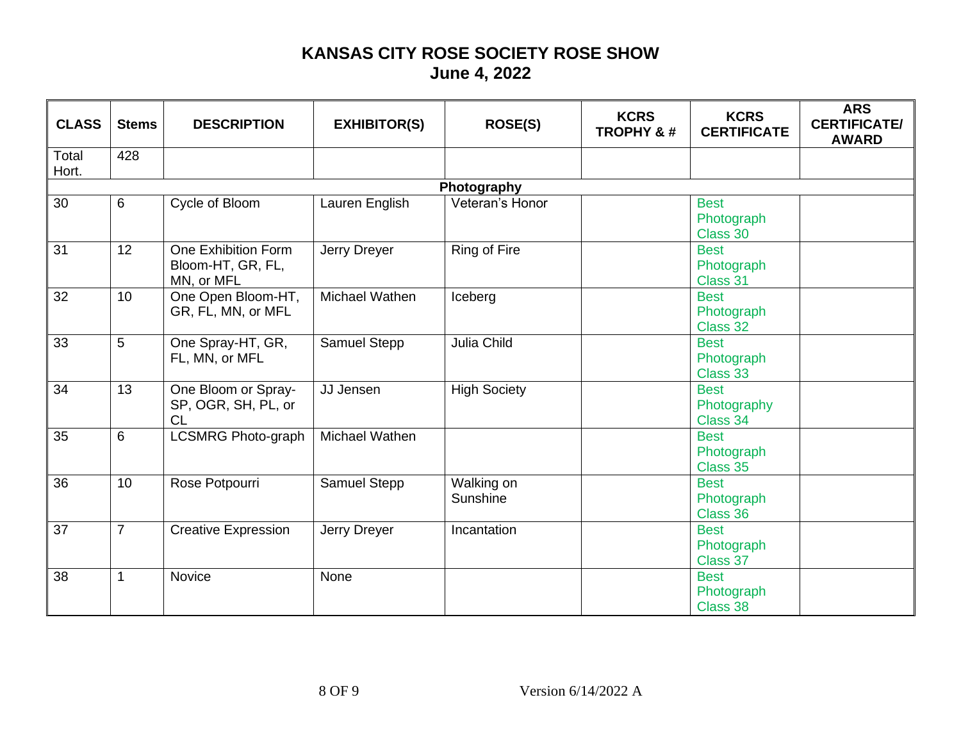| <b>CLASS</b> | <b>Stems</b> | <b>DESCRIPTION</b> | <b>EXHIBITOR(S)</b> | <b>ROSE(S)</b> | <b>KCRS</b><br><b>TROPHY &amp;#&lt;/b&gt;&lt;/th&gt;&lt;th&gt;&lt;b&gt;KCRS&lt;/b&gt;&lt;br&gt;&lt;b&gt;CERTIFICATE&lt;/b&gt;&lt;/th&gt;&lt;th&gt;&lt;b&gt;ARS&lt;/b&gt;&lt;br&gt;&lt;b&gt;CERTIFICATE/&lt;/b&gt;&lt;br&gt;&lt;b&gt;AWARD&lt;/b&gt;&lt;/th&gt;&lt;/tr&gt;&lt;tr&gt;&lt;td&gt;Total&lt;br&gt;Hort.&lt;/td&gt;&lt;td&gt;428&lt;/td&gt;&lt;td&gt;&lt;/td&gt;&lt;td&gt;&lt;/td&gt;&lt;td&gt;&lt;/td&gt;&lt;td&gt;&lt;/td&gt;&lt;td&gt;&lt;/td&gt;&lt;td&gt;&lt;/td&gt;&lt;/tr&gt;&lt;tr&gt;&lt;td&gt;&lt;/td&gt;&lt;td&gt;&lt;/td&gt;&lt;td&gt;&lt;/td&gt;&lt;td&gt;&lt;/td&gt;&lt;td&gt;Photography&lt;/td&gt;&lt;td&gt;&lt;/td&gt;&lt;td&gt;&lt;/td&gt;&lt;td&gt;&lt;/td&gt;&lt;/tr&gt;&lt;tr&gt;&lt;td&gt;30&lt;/td&gt;&lt;td&gt;6&lt;/td&gt;&lt;td&gt;Cycle of Bloom&lt;/td&gt;&lt;td&gt;Lauren English&lt;/td&gt;&lt;td&gt;Veteran's Honor&lt;/td&gt;&lt;td&gt;&lt;/td&gt;&lt;td&gt;&lt;b&gt;Best&lt;/b&gt;&lt;br&gt;Photograph&lt;br&gt;Class 30&lt;/td&gt;&lt;td&gt;&lt;/td&gt;&lt;/tr&gt;&lt;tr&gt;&lt;td&gt;31&lt;/td&gt;&lt;td&gt;12&lt;/td&gt;&lt;td&gt;One Exhibition Form&lt;br&gt;Bloom-HT, GR, FL,&lt;br&gt;MN, or MFL&lt;/td&gt;&lt;td&gt;Jerry Dreyer&lt;/td&gt;&lt;td&gt;&lt;b&gt;Ring of Fire&lt;/b&gt;&lt;/td&gt;&lt;td&gt;&lt;/td&gt;&lt;td&gt;&lt;b&gt;Best&lt;/b&gt;&lt;br&gt;Photograph&lt;br&gt;Class 31&lt;/td&gt;&lt;td&gt;&lt;/td&gt;&lt;/tr&gt;&lt;tr&gt;&lt;td&gt;32&lt;/td&gt;&lt;td&gt;10&lt;/td&gt;&lt;td&gt;One Open Bloom-HT,&lt;br&gt;GR, FL, MN, or MFL&lt;/td&gt;&lt;td&gt;Michael Wathen&lt;/td&gt;&lt;td&gt;Iceberg&lt;/td&gt;&lt;td&gt;&lt;/td&gt;&lt;td&gt;&lt;b&gt;Best&lt;/b&gt;&lt;br&gt;Photograph&lt;br&gt;Class 32&lt;/td&gt;&lt;td&gt;&lt;/td&gt;&lt;/tr&gt;&lt;tr&gt;&lt;td&gt;33&lt;/td&gt;&lt;td&gt;5&lt;/td&gt;&lt;td&gt;One Spray-HT, GR,&lt;br&gt;FL, MN, or MFL&lt;/td&gt;&lt;td&gt;Samuel Stepp&lt;/td&gt;&lt;td&gt;Julia Child&lt;/td&gt;&lt;td&gt;&lt;/td&gt;&lt;td&gt;&lt;b&gt;Best&lt;/b&gt;&lt;br&gt;Photograph&lt;br&gt;Class 33&lt;/td&gt;&lt;td&gt;&lt;/td&gt;&lt;/tr&gt;&lt;tr&gt;&lt;td&gt;34&lt;/td&gt;&lt;td&gt;13&lt;/td&gt;&lt;td&gt;One Bloom or Spray-&lt;br&gt;SP, OGR, SH, PL, or&lt;br&gt;&lt;b&gt;CL&lt;/b&gt;&lt;/td&gt;&lt;td&gt;JJ Jensen&lt;/td&gt;&lt;td&gt;&lt;b&gt;High Society&lt;/b&gt;&lt;/td&gt;&lt;td&gt;&lt;/td&gt;&lt;td&gt;&lt;b&gt;Best&lt;/b&gt;&lt;br&gt;Photography&lt;br&gt;Class 34&lt;/td&gt;&lt;td&gt;&lt;/td&gt;&lt;/tr&gt;&lt;tr&gt;&lt;td&gt;35&lt;/td&gt;&lt;td&gt;&lt;math&gt;6\phantom{1}&lt;/math&gt;&lt;/td&gt;&lt;td&gt;&lt;b&gt;LCSMRG Photo-graph&lt;/b&gt;&lt;/td&gt;&lt;td&gt;Michael Wathen&lt;/td&gt;&lt;td&gt;&lt;/td&gt;&lt;td&gt;&lt;/td&gt;&lt;td&gt;&lt;b&gt;Best&lt;/b&gt;&lt;br&gt;Photograph&lt;br&gt;Class 35&lt;/td&gt;&lt;td&gt;&lt;/td&gt;&lt;/tr&gt;&lt;tr&gt;&lt;td&gt;36&lt;/td&gt;&lt;td&gt;10&lt;/td&gt;&lt;td&gt;Rose Potpourri&lt;/td&gt;&lt;td&gt;Samuel Stepp&lt;/td&gt;&lt;td&gt;Walking on&lt;br&gt;Sunshine&lt;/td&gt;&lt;td&gt;&lt;/td&gt;&lt;td&gt;&lt;b&gt;Best&lt;/b&gt;&lt;br&gt;Photograph&lt;br&gt;Class 36&lt;/td&gt;&lt;td&gt;&lt;/td&gt;&lt;/tr&gt;&lt;tr&gt;&lt;td&gt;37&lt;/td&gt;&lt;td&gt;&lt;math&gt;\overline{7}&lt;/math&gt;&lt;/td&gt;&lt;td&gt;&lt;b&gt;Creative Expression&lt;/b&gt;&lt;/td&gt;&lt;td&gt;Jerry Dreyer&lt;/td&gt;&lt;td&gt;Incantation&lt;/td&gt;&lt;td&gt;&lt;/td&gt;&lt;td&gt;&lt;b&gt;Best&lt;/b&gt;&lt;br&gt;Photograph&lt;br&gt;Class 37&lt;/td&gt;&lt;td&gt;&lt;/td&gt;&lt;/tr&gt;&lt;tr&gt;&lt;td&gt;38&lt;/td&gt;&lt;td&gt;1&lt;/td&gt;&lt;td&gt;Novice&lt;/td&gt;&lt;td&gt;None&lt;/td&gt;&lt;td&gt;&lt;/td&gt;&lt;td&gt;&lt;/td&gt;&lt;td&gt;&lt;b&gt;Best&lt;/b&gt;&lt;br&gt;Photograph&lt;br&gt;Class 38&lt;/td&gt;&lt;td&gt;&lt;/td&gt;&lt;/tr&gt;&lt;/tbody&gt;&lt;/table&gt;</b> |
|--------------|--------------|--------------------|---------------------|----------------|-------------------------------------------------------------------------------------------------------------------------------------------------------------------------------------------------------------------------------------------------------------------------------------------------------------------------------------------------------------------------------------------------------------------------------------------------------------------------------------------------------------------------------------------------------------------------------------------------------------------------------------------------------------------------------------------------------------------------------------------------------------------------------------------------------------------------------------------------------------------------------------------------------------------------------------------------------------------------------------------------------------------------------------------------------------------------------------------------------------------------------------------------------------------------------------------------------------------------------------------------------------------------------------------------------------------------------------------------------------------------------------------------------------------------------------------------------------------------------------------------------------------------------------------------------------------------------------------------------------------------------------------------------------------------------------------------------------------------------------------------------------------------------------------------------------------------------------------------------------------------------------------------------------------------------------------------------------------------------------------------------------------------------------------------------------------------------------------------------------------------------------------------------------------------------------------------------------------------------------------------------------------------------------------------------------------------------------------------------------------------------------------------------------------------------------------------------------------------------------------------------------------------------------------------------------------------------------------------------------------------------------------------------------------------------------------------------------------------------------------------------------------------------------------------------------------------------------------------------------------------------------------------------------------------------------------------------------------------------------------------------------------------------------------------------------------------------------------------------------------------------------------------------------------------------------------------------------------------------------------------------------------------------------------------------------------------------------------------------------------------------------------------------------------------------------------------------------------------------------------------------------------------------------------------------------------------------------------------------------------------------------------------------------------------------------------------------------------------------------------------------------------------------------------|
|--------------|--------------|--------------------|---------------------|----------------|-------------------------------------------------------------------------------------------------------------------------------------------------------------------------------------------------------------------------------------------------------------------------------------------------------------------------------------------------------------------------------------------------------------------------------------------------------------------------------------------------------------------------------------------------------------------------------------------------------------------------------------------------------------------------------------------------------------------------------------------------------------------------------------------------------------------------------------------------------------------------------------------------------------------------------------------------------------------------------------------------------------------------------------------------------------------------------------------------------------------------------------------------------------------------------------------------------------------------------------------------------------------------------------------------------------------------------------------------------------------------------------------------------------------------------------------------------------------------------------------------------------------------------------------------------------------------------------------------------------------------------------------------------------------------------------------------------------------------------------------------------------------------------------------------------------------------------------------------------------------------------------------------------------------------------------------------------------------------------------------------------------------------------------------------------------------------------------------------------------------------------------------------------------------------------------------------------------------------------------------------------------------------------------------------------------------------------------------------------------------------------------------------------------------------------------------------------------------------------------------------------------------------------------------------------------------------------------------------------------------------------------------------------------------------------------------------------------------------------------------------------------------------------------------------------------------------------------------------------------------------------------------------------------------------------------------------------------------------------------------------------------------------------------------------------------------------------------------------------------------------------------------------------------------------------------------------------------------------------------------------------------------------------------------------------------------------------------------------------------------------------------------------------------------------------------------------------------------------------------------------------------------------------------------------------------------------------------------------------------------------------------------------------------------------------------------------------------------------------------------------------------------------------------------|